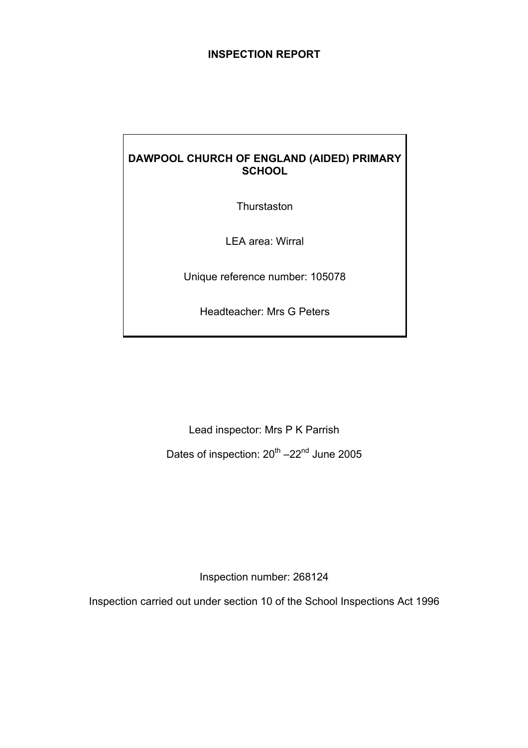# **INSPECTION REPORT**

# **DAWPOOL CHURCH OF ENGLAND (AIDED) PRIMARY SCHOOL**

**Thurstaston** 

LEA area: Wirral

Unique reference number: 105078

Headteacher: Mrs G Peters

Lead inspector: Mrs P K Parrish

Dates of inspection:  $20^{th}$  –22<sup>nd</sup> June 2005

Inspection number: 268124

Inspection carried out under section 10 of the School Inspections Act 1996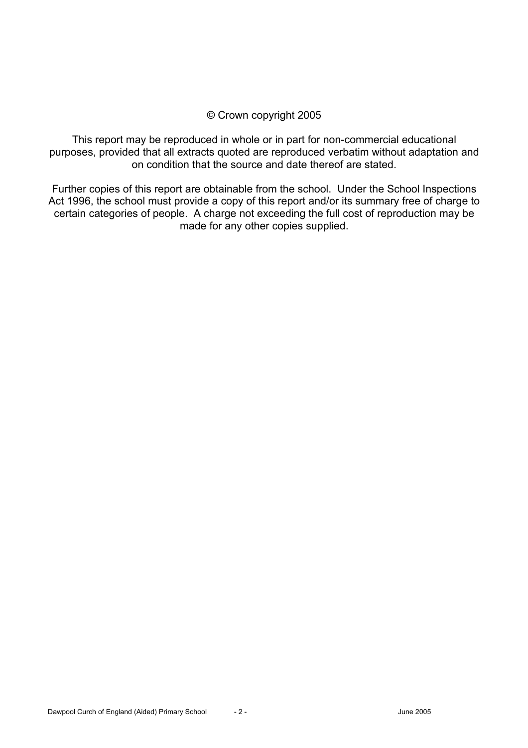# © Crown copyright 2005

This report may be reproduced in whole or in part for non-commercial educational purposes, provided that all extracts quoted are reproduced verbatim without adaptation and on condition that the source and date thereof are stated.

Further copies of this report are obtainable from the school. Under the School Inspections Act 1996, the school must provide a copy of this report and/or its summary free of charge to certain categories of people. A charge not exceeding the full cost of reproduction may be made for any other copies supplied.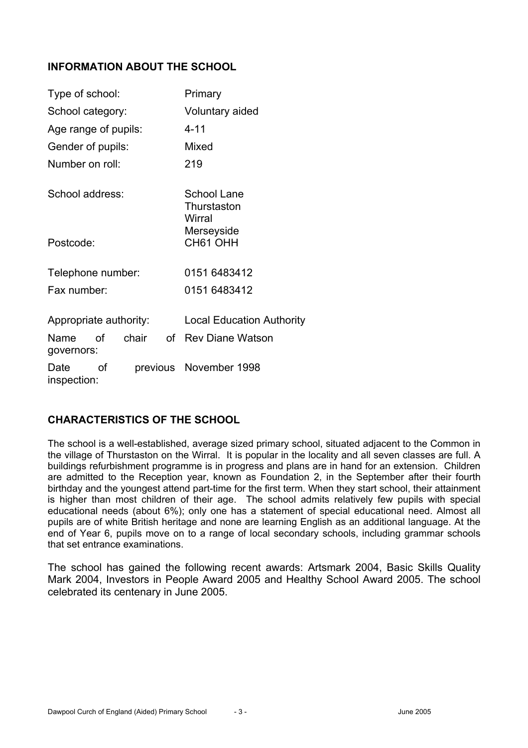# **INFORMATION ABOUT THE SCHOOL**

| Type of school:                                            |    |       |                        | Primary                              |
|------------------------------------------------------------|----|-------|------------------------|--------------------------------------|
| School category:                                           |    |       | Voluntary aided        |                                      |
| Age range of pupils:                                       |    |       |                        | $4 - 11$                             |
| Gender of pupils:                                          |    |       |                        | Mixed                                |
| Number on roll:                                            |    |       |                        | 219                                  |
| School address:                                            |    |       |                        | School Lane<br>Thurstaston<br>Wirral |
| Postcode:                                                  |    |       | Merseyside<br>CH61 OHH |                                      |
| Telephone number:                                          |    |       |                        | 0151 6483412                         |
| Fax number:                                                |    |       |                        | 0151 6483412                         |
| <b>Local Education Authority</b><br>Appropriate authority: |    |       |                        |                                      |
| Name<br>governors:                                         | of | chair | ∩f                     | <b>Rev Diane Watson</b>              |
| Date<br>inspection:                                        | of |       |                        | previous November 1998               |

## **CHARACTERISTICS OF THE SCHOOL**

The school is a well-established, average sized primary school, situated adjacent to the Common in the village of Thurstaston on the Wirral. It is popular in the locality and all seven classes are full. A buildings refurbishment programme is in progress and plans are in hand for an extension. Children are admitted to the Reception year, known as Foundation 2, in the September after their fourth birthday and the youngest attend part-time for the first term. When they start school, their attainment is higher than most children of their age. The school admits relatively few pupils with special educational needs (about 6%); only one has a statement of special educational need. Almost all pupils are of white British heritage and none are learning English as an additional language. At the end of Year 6, pupils move on to a range of local secondary schools, including grammar schools that set entrance examinations.

The school has gained the following recent awards: Artsmark 2004, Basic Skills Quality Mark 2004, Investors in People Award 2005 and Healthy School Award 2005. The school celebrated its centenary in June 2005.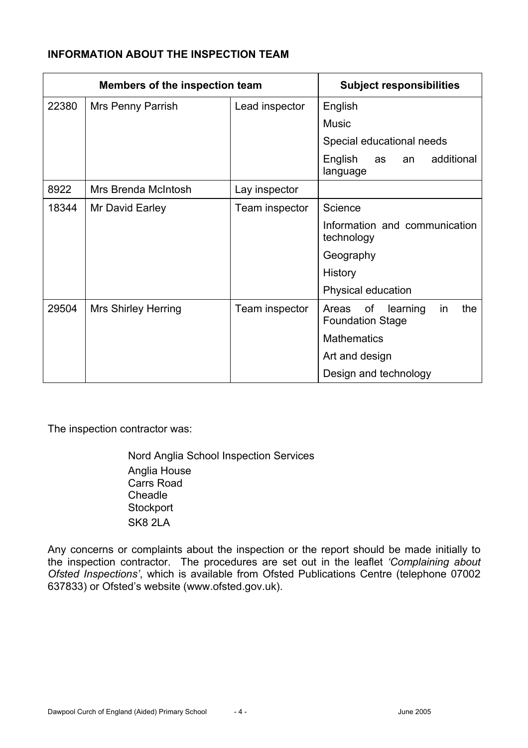# **INFORMATION ABOUT THE INSPECTION TEAM**

| <b>Members of the inspection team</b> |                            | <b>Subject responsibilities</b> |                                                                 |
|---------------------------------------|----------------------------|---------------------------------|-----------------------------------------------------------------|
| 22380                                 | Mrs Penny Parrish          | Lead inspector                  | English                                                         |
|                                       |                            |                                 | <b>Music</b>                                                    |
|                                       |                            |                                 | Special educational needs                                       |
|                                       |                            |                                 | English<br>additional<br>as<br>an<br>language                   |
| 8922                                  | Mrs Brenda McIntosh        | Lay inspector                   |                                                                 |
| 18344                                 | Mr David Earley            | Team inspector                  | Science                                                         |
|                                       |                            |                                 | Information and communication<br>technology                     |
|                                       |                            |                                 | Geography                                                       |
|                                       |                            |                                 | History                                                         |
|                                       |                            |                                 | Physical education                                              |
| 29504                                 | <b>Mrs Shirley Herring</b> | Team inspector                  | of<br>the<br>learning<br>Areas<br>in<br><b>Foundation Stage</b> |
|                                       |                            |                                 | <b>Mathematics</b>                                              |
|                                       |                            |                                 | Art and design                                                  |
|                                       |                            |                                 | Design and technology                                           |

The inspection contractor was:

Nord Anglia School Inspection Services Anglia House Carrs Road Cheadle **Stockport** SK8 2LA

Any concerns or complaints about the inspection or the report should be made initially to the inspection contractor. The procedures are set out in the leaflet *'Complaining about Ofsted Inspections'*, which is available from Ofsted Publications Centre (telephone 07002 637833) or Ofsted's website (www.ofsted.gov.uk).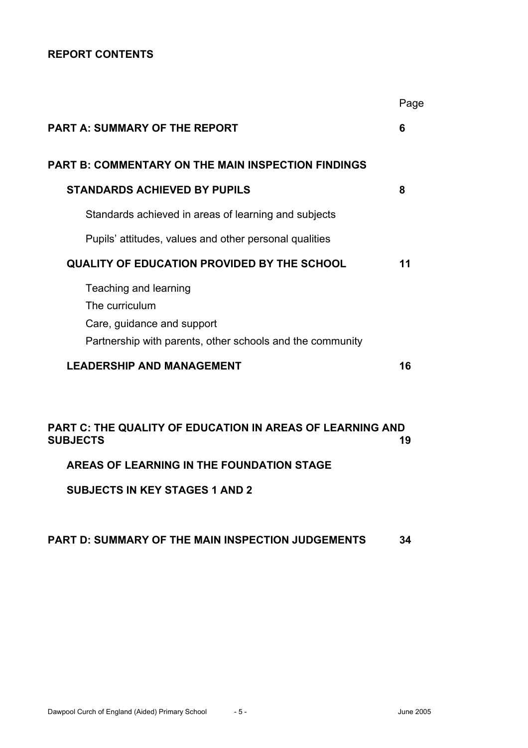## **REPORT CONTENTS**

|                                                                                                                                    | Page |
|------------------------------------------------------------------------------------------------------------------------------------|------|
| <b>PART A: SUMMARY OF THE REPORT</b>                                                                                               | 6    |
| PART B: COMMENTARY ON THE MAIN INSPECTION FINDINGS                                                                                 |      |
| <b>STANDARDS ACHIEVED BY PUPILS</b>                                                                                                | 8    |
| Standards achieved in areas of learning and subjects                                                                               |      |
| Pupils' attitudes, values and other personal qualities                                                                             |      |
| <b>QUALITY OF EDUCATION PROVIDED BY THE SCHOOL</b>                                                                                 | 11   |
| Teaching and learning<br>The curriculum<br>Care, guidance and support<br>Partnership with parents, other schools and the community |      |
| <b>LEADERSHIP AND MANAGEMENT</b>                                                                                                   | 16   |
|                                                                                                                                    |      |
| PART C: THE QUALITY OF EDUCATION IN AREAS OF LEARNING AND<br><b>SUBJECTS</b>                                                       | 19   |
| AREAS OF LEARNING IN THE FOUNDATION STAGE                                                                                          |      |

**SUBJECTS IN KEY STAGES 1 AND 2**

## **PART D: SUMMARY OF THE MAIN INSPECTION JUDGEMENTS 34**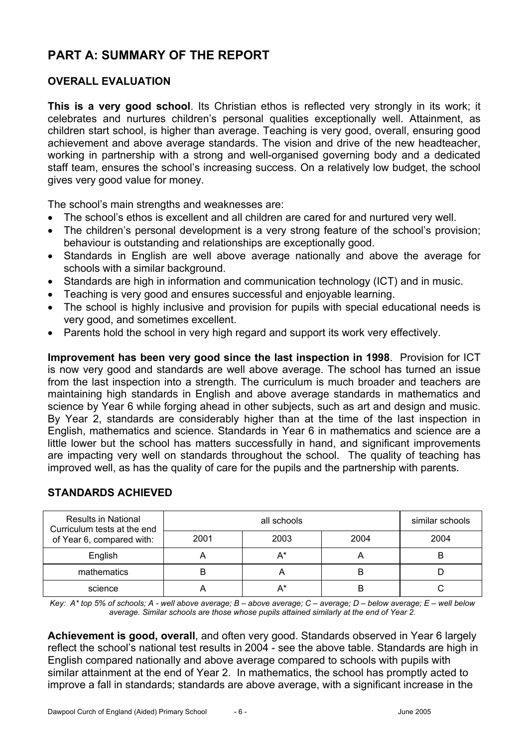# **PART A: SUMMARY OF THE REPORT**

# **OVERALL EVALUATION**

**This is a very good school**. Its Christian ethos is reflected very strongly in its work; it celebrates and nurtures children's personal qualities exceptionally well. Attainment, as children start school, is higher than average. Teaching is very good, overall, ensuring good achievement and above average standards. The vision and drive of the new headteacher, working in partnership with a strong and well-organised governing body and a dedicated staff team, ensures the school's increasing success. On a relatively low budget, the school gives very good value for money.

The school's main strengths and weaknesses are:

- The school's ethos is excellent and all children are cared for and nurtured very well.
- The children's personal development is a very strong feature of the school's provision; behaviour is outstanding and relationships are exceptionally good.
- Standards in English are well above average nationally and above the average for schools with a similar background.
- Standards are high in information and communication technology (ICT) and in music.
- Teaching is very good and ensures successful and enjoyable learning.
- The school is highly inclusive and provision for pupils with special educational needs is very good, and sometimes excellent.
- Parents hold the school in very high regard and support its work very effectively.

**Improvement has been very good since the last inspection in 1998**. Provision for ICT is now very good and standards are well above average. The school has turned an issue from the last inspection into a strength. The curriculum is much broader and teachers are maintaining high standards in English and above average standards in mathematics and science by Year 6 while forging ahead in other subjects, such as art and design and music. By Year 2, standards are considerably higher than at the time of the last inspection in English, mathematics and science. Standards in Year 6 in mathematics and science are a little lower but the school has matters successfully in hand, and significant improvements are impacting very well on standards throughout the school. The quality of teaching has improved well, as has the quality of care for the pupils and the partnership with parents.

| <b>Results in National</b><br>Curriculum tests at the end |      | similar schools |      |      |
|-----------------------------------------------------------|------|-----------------|------|------|
| of Year 6, compared with:                                 | 2001 | 2003            | 2004 | 2004 |
| English                                                   |      | $A^*$           |      | B    |
| mathematics                                               |      |                 | В    |      |
| science                                                   |      | $A^*$           | B    |      |

# **STANDARDS ACHIEVED**

*Key: A\* top 5% of schools; A - well above average; B – above average; C – average; D – below average; E – well below average. Similar schools are those whose pupils attained similarly at the end of Year 2.* 

**Achievement is good, overall**, and often very good. Standards observed in Year 6 largely reflect the school's national test results in 2004 - see the above table. Standards are high in English compared nationally and above average compared to schools with pupils with similar attainment at the end of Year 2. In mathematics, the school has promptly acted to improve a fall in standards; standards are above average, with a significant increase in the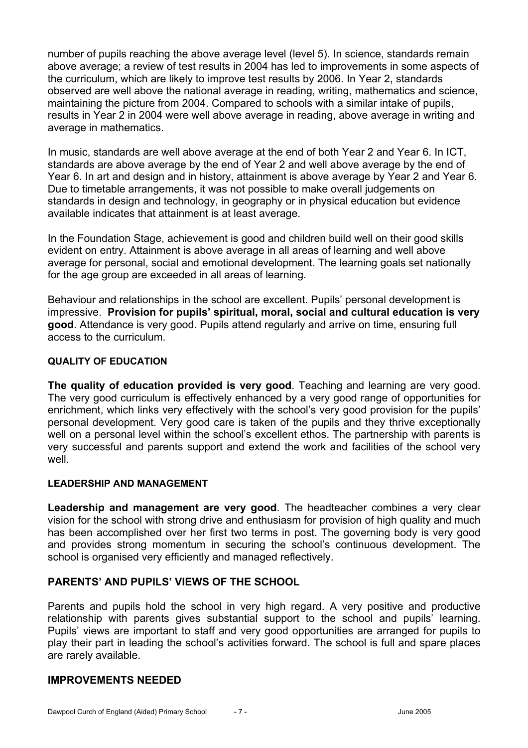number of pupils reaching the above average level (level 5). In science, standards remain above average; a review of test results in 2004 has led to improvements in some aspects of the curriculum, which are likely to improve test results by 2006. In Year 2, standards observed are well above the national average in reading, writing, mathematics and science, maintaining the picture from 2004. Compared to schools with a similar intake of pupils, results in Year 2 in 2004 were well above average in reading, above average in writing and average in mathematics.

In music, standards are well above average at the end of both Year 2 and Year 6. In ICT, standards are above average by the end of Year 2 and well above average by the end of Year 6. In art and design and in history, attainment is above average by Year 2 and Year 6. Due to timetable arrangements, it was not possible to make overall judgements on standards in design and technology, in geography or in physical education but evidence available indicates that attainment is at least average.

In the Foundation Stage, achievement is good and children build well on their good skills evident on entry. Attainment is above average in all areas of learning and well above average for personal, social and emotional development. The learning goals set nationally for the age group are exceeded in all areas of learning.

Behaviour and relationships in the school are excellent. Pupils' personal development is impressive. **Provision for pupils' spiritual, moral, social and cultural education is very good**. Attendance is very good. Pupils attend regularly and arrive on time, ensuring full access to the curriculum.

## **QUALITY OF EDUCATION**

**The quality of education provided is very good**. Teaching and learning are very good. The very good curriculum is effectively enhanced by a very good range of opportunities for enrichment, which links very effectively with the school's very good provision for the pupils' personal development. Very good care is taken of the pupils and they thrive exceptionally well on a personal level within the school's excellent ethos. The partnership with parents is very successful and parents support and extend the work and facilities of the school very well.

## **LEADERSHIP AND MANAGEMENT**

**Leadership and management are very good**. The headteacher combines a very clear vision for the school with strong drive and enthusiasm for provision of high quality and much has been accomplished over her first two terms in post. The governing body is very good and provides strong momentum in securing the school's continuous development. The school is organised very efficiently and managed reflectively.

## **PARENTS' AND PUPILS' VIEWS OF THE SCHOOL**

Parents and pupils hold the school in very high regard. A very positive and productive relationship with parents gives substantial support to the school and pupils' learning. Pupils' views are important to staff and very good opportunities are arranged for pupils to play their part in leading the school's activities forward. The school is full and spare places are rarely available.

#### **IMPROVEMENTS NEEDED**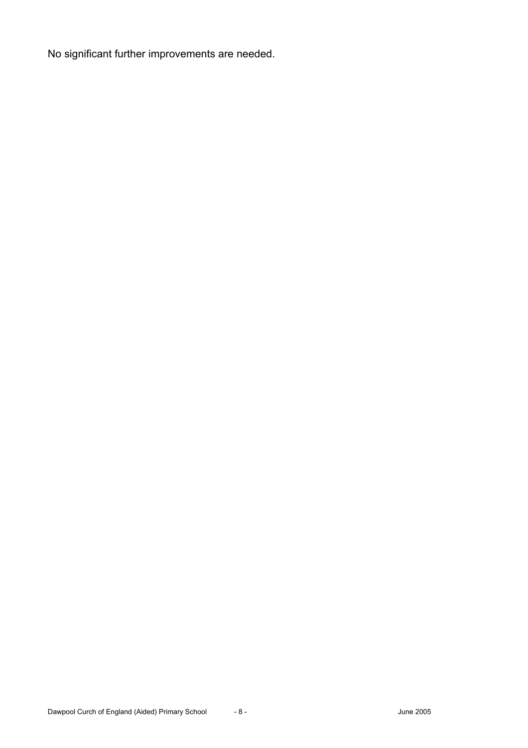No significant further improvements are needed.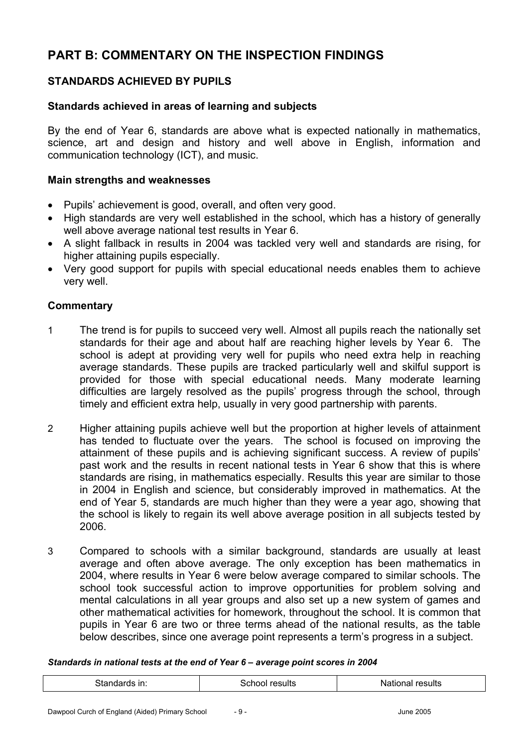# **PART B: COMMENTARY ON THE INSPECTION FINDINGS**

# **STANDARDS ACHIEVED BY PUPILS**

## **Standards achieved in areas of learning and subjects**

By the end of Year 6, standards are above what is expected nationally in mathematics, science, art and design and history and well above in English, information and communication technology (ICT), and music.

## **Main strengths and weaknesses**

- Pupils' achievement is good, overall, and often very good.
- High standards are very well established in the school, which has a history of generally well above average national test results in Year 6.
- A slight fallback in results in 2004 was tackled very well and standards are rising, for higher attaining pupils especially.
- Very good support for pupils with special educational needs enables them to achieve very well.

# **Commentary**

- 1 The trend is for pupils to succeed very well. Almost all pupils reach the nationally set standards for their age and about half are reaching higher levels by Year 6. The school is adept at providing very well for pupils who need extra help in reaching average standards. These pupils are tracked particularly well and skilful support is provided for those with special educational needs. Many moderate learning difficulties are largely resolved as the pupils' progress through the school, through timely and efficient extra help, usually in very good partnership with parents.
- 2 Higher attaining pupils achieve well but the proportion at higher levels of attainment has tended to fluctuate over the years. The school is focused on improving the attainment of these pupils and is achieving significant success. A review of pupils' past work and the results in recent national tests in Year 6 show that this is where standards are rising, in mathematics especially. Results this year are similar to those in 2004 in English and science, but considerably improved in mathematics. At the end of Year 5, standards are much higher than they were a year ago, showing that the school is likely to regain its well above average position in all subjects tested by 2006.
- 3 Compared to schools with a similar background, standards are usually at least average and often above average. The only exception has been mathematics in 2004, where results in Year 6 were below average compared to similar schools. The school took successful action to improve opportunities for problem solving and mental calculations in all year groups and also set up a new system of games and other mathematical activities for homework, throughout the school. It is common that pupils in Year 6 are two or three terms ahead of the national results, as the table below describes, since one average point represents a term's progress in a subject.

#### *Standards in national tests at the end of Year 6 – average point scores in 2004*

| 3tandards in: | School results | <b>National results</b> |
|---------------|----------------|-------------------------|
|               |                |                         |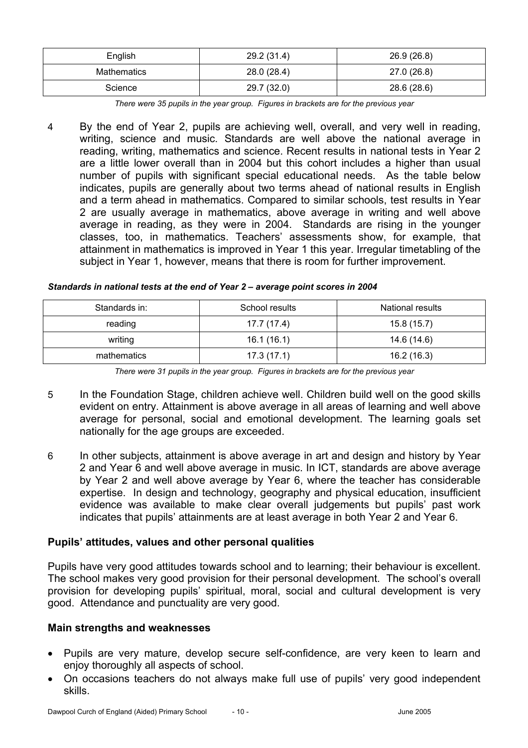| English     | 29.2 (31.4) | 26.9 (26.8) |  |  |
|-------------|-------------|-------------|--|--|
| Mathematics | 28.0 (28.4) | 27.0 (26.8) |  |  |
| Science     | 29.7 (32.0) | 28.6 (28.6) |  |  |

*There were 35 pupils in the year group. Figures in brackets are for the previous year* 

4 By the end of Year 2, pupils are achieving well, overall, and very well in reading, writing, science and music. Standards are well above the national average in reading, writing, mathematics and science. Recent results in national tests in Year 2 are a little lower overall than in 2004 but this cohort includes a higher than usual number of pupils with significant special educational needs. As the table below indicates, pupils are generally about two terms ahead of national results in English and a term ahead in mathematics. Compared to similar schools, test results in Year 2 are usually average in mathematics, above average in writing and well above average in reading, as they were in 2004. Standards are rising in the younger classes, too, in mathematics. Teachers' assessments show, for example, that attainment in mathematics is improved in Year 1 this year. Irregular timetabling of the subject in Year 1, however, means that there is room for further improvement.

| Standards in: | School results | National results |
|---------------|----------------|------------------|
| reading       | 17.7 (17.4)    | 15.8 (15.7)      |
| writing       | 16.1(16.1)     | 14.6 (14.6)      |
| mathematics   | 17.3(17.1)     | 16.2 (16.3)      |

*Standards in national tests at the end of Year 2 – average point scores in 2004* 

*There were 31 pupils in the year group. Figures in brackets are for the previous year* 

- 5 In the Foundation Stage, children achieve well. Children build well on the good skills evident on entry. Attainment is above average in all areas of learning and well above average for personal, social and emotional development. The learning goals set nationally for the age groups are exceeded.
- 6 In other subjects, attainment is above average in art and design and history by Year 2 and Year 6 and well above average in music. In ICT, standards are above average by Year 2 and well above average by Year 6, where the teacher has considerable expertise. In design and technology, geography and physical education, insufficient evidence was available to make clear overall judgements but pupils' past work indicates that pupils' attainments are at least average in both Year 2 and Year 6.

## **Pupils' attitudes, values and other personal qualities**

Pupils have very good attitudes towards school and to learning; their behaviour is excellent. The school makes very good provision for their personal development. The school's overall provision for developing pupils' spiritual, moral, social and cultural development is very good. Attendance and punctuality are very good.

#### **Main strengths and weaknesses**

- Pupils are very mature, develop secure self-confidence, are very keen to learn and enjoy thoroughly all aspects of school.
- On occasions teachers do not always make full use of pupils' very good independent skills.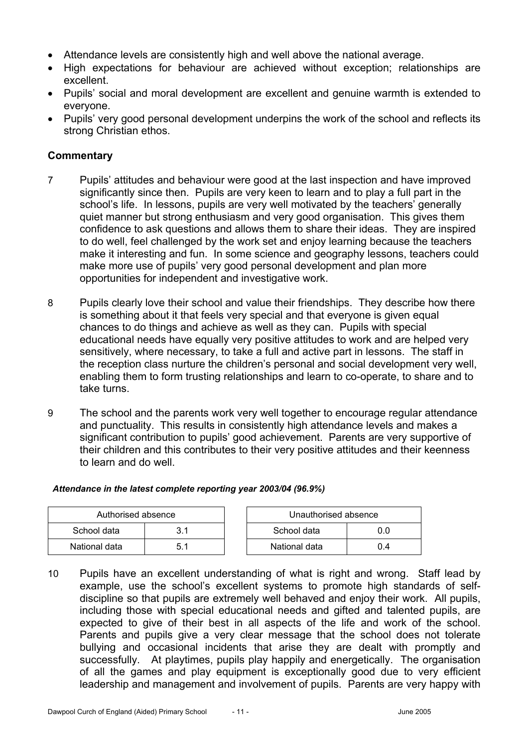- Attendance levels are consistently high and well above the national average.
- High expectations for behaviour are achieved without exception; relationships are excellent.
- Pupils' social and moral development are excellent and genuine warmth is extended to everyone.
- Pupils' very good personal development underpins the work of the school and reflects its strong Christian ethos.

# **Commentary**

- 7 Pupils' attitudes and behaviour were good at the last inspection and have improved significantly since then. Pupils are very keen to learn and to play a full part in the school's life. In lessons, pupils are very well motivated by the teachers' generally quiet manner but strong enthusiasm and very good organisation. This gives them confidence to ask questions and allows them to share their ideas. They are inspired to do well, feel challenged by the work set and enjoy learning because the teachers make it interesting and fun. In some science and geography lessons, teachers could make more use of pupils' very good personal development and plan more opportunities for independent and investigative work.
- 8 Pupils clearly love their school and value their friendships. They describe how there is something about it that feels very special and that everyone is given equal chances to do things and achieve as well as they can. Pupils with special educational needs have equally very positive attitudes to work and are helped very sensitively, where necessary, to take a full and active part in lessons. The staff in the reception class nurture the children's personal and social development very well, enabling them to form trusting relationships and learn to co-operate, to share and to take turns.
- 9 The school and the parents work very well together to encourage regular attendance and punctuality. This results in consistently high attendance levels and makes a significant contribution to pupils' good achievement. Parents are very supportive of their children and this contributes to their very positive attitudes and their keenness to learn and do well.

#### *Attendance in the latest complete reporting year 2003/04 (96.9%)*

| Authorised absence |     | Unauthorised absence |      |
|--------------------|-----|----------------------|------|
| School data        | 3.1 | School data          |      |
| National data      | 5.1 | National data        | () 4 |

10 Pupils have an excellent understanding of what is right and wrong. Staff lead by example, use the school's excellent systems to promote high standards of selfdiscipline so that pupils are extremely well behaved and enjoy their work. All pupils, including those with special educational needs and gifted and talented pupils, are expected to give of their best in all aspects of the life and work of the school. Parents and pupils give a very clear message that the school does not tolerate bullying and occasional incidents that arise they are dealt with promptly and successfully. At playtimes, pupils play happily and energetically. The organisation of all the games and play equipment is exceptionally good due to very efficient leadership and management and involvement of pupils. Parents are very happy with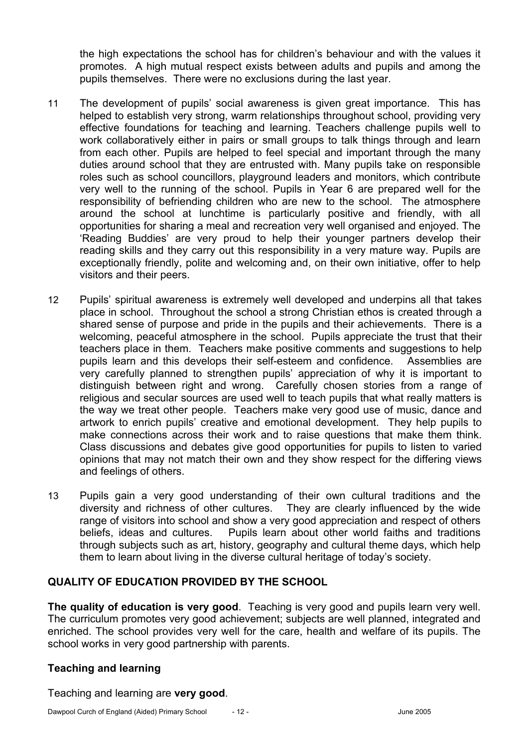the high expectations the school has for children's behaviour and with the values it promotes. A high mutual respect exists between adults and pupils and among the pupils themselves. There were no exclusions during the last year.

- 11 The development of pupils' social awareness is given great importance. This has helped to establish very strong, warm relationships throughout school, providing very effective foundations for teaching and learning. Teachers challenge pupils well to work collaboratively either in pairs or small groups to talk things through and learn from each other. Pupils are helped to feel special and important through the many duties around school that they are entrusted with. Many pupils take on responsible roles such as school councillors, playground leaders and monitors, which contribute very well to the running of the school. Pupils in Year 6 are prepared well for the responsibility of befriending children who are new to the school. The atmosphere around the school at lunchtime is particularly positive and friendly, with all opportunities for sharing a meal and recreation very well organised and enjoyed. The 'Reading Buddies' are very proud to help their younger partners develop their reading skills and they carry out this responsibility in a very mature way. Pupils are exceptionally friendly, polite and welcoming and, on their own initiative, offer to help visitors and their peers.
- 12 Pupils' spiritual awareness is extremely well developed and underpins all that takes place in school. Throughout the school a strong Christian ethos is created through a shared sense of purpose and pride in the pupils and their achievements. There is a welcoming, peaceful atmosphere in the school. Pupils appreciate the trust that their teachers place in them. Teachers make positive comments and suggestions to help pupils learn and this develops their self-esteem and confidence. Assemblies are very carefully planned to strengthen pupils' appreciation of why it is important to distinguish between right and wrong. Carefully chosen stories from a range of religious and secular sources are used well to teach pupils that what really matters is the way we treat other people. Teachers make very good use of music, dance and artwork to enrich pupils' creative and emotional development. They help pupils to make connections across their work and to raise questions that make them think. Class discussions and debates give good opportunities for pupils to listen to varied opinions that may not match their own and they show respect for the differing views and feelings of others.
- 13 Pupils gain a very good understanding of their own cultural traditions and the diversity and richness of other cultures. They are clearly influenced by the wide range of visitors into school and show a very good appreciation and respect of others beliefs, ideas and cultures. Pupils learn about other world faiths and traditions through subjects such as art, history, geography and cultural theme days, which help them to learn about living in the diverse cultural heritage of today's society.

## **QUALITY OF EDUCATION PROVIDED BY THE SCHOOL**

**The quality of education is very good**. Teaching is very good and pupils learn very well. The curriculum promotes very good achievement; subjects are well planned, integrated and enriched. The school provides very well for the care, health and welfare of its pupils. The school works in very good partnership with parents.

## **Teaching and learning**

Teaching and learning are **very good**.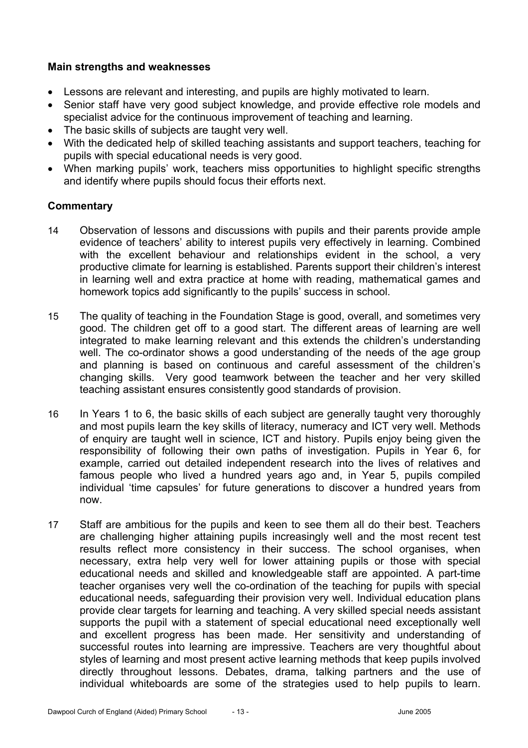## **Main strengths and weaknesses**

- Lessons are relevant and interesting, and pupils are highly motivated to learn.
- Senior staff have very good subject knowledge, and provide effective role models and specialist advice for the continuous improvement of teaching and learning.
- The basic skills of subjects are taught very well.
- With the dedicated help of skilled teaching assistants and support teachers, teaching for pupils with special educational needs is very good.
- When marking pupils' work, teachers miss opportunities to highlight specific strengths and identify where pupils should focus their efforts next.

- 14 Observation of lessons and discussions with pupils and their parents provide ample evidence of teachers' ability to interest pupils very effectively in learning. Combined with the excellent behaviour and relationships evident in the school, a very productive climate for learning is established. Parents support their children's interest in learning well and extra practice at home with reading, mathematical games and homework topics add significantly to the pupils' success in school.
- 15 The quality of teaching in the Foundation Stage is good, overall, and sometimes very good. The children get off to a good start. The different areas of learning are well integrated to make learning relevant and this extends the children's understanding well. The co-ordinator shows a good understanding of the needs of the age group and planning is based on continuous and careful assessment of the children's changing skills. Very good teamwork between the teacher and her very skilled teaching assistant ensures consistently good standards of provision.
- 16 In Years 1 to 6, the basic skills of each subject are generally taught very thoroughly and most pupils learn the key skills of literacy, numeracy and ICT very well. Methods of enquiry are taught well in science, ICT and history. Pupils enjoy being given the responsibility of following their own paths of investigation. Pupils in Year 6, for example, carried out detailed independent research into the lives of relatives and famous people who lived a hundred years ago and, in Year 5, pupils compiled individual 'time capsules' for future generations to discover a hundred years from now.
- 17 Staff are ambitious for the pupils and keen to see them all do their best. Teachers are challenging higher attaining pupils increasingly well and the most recent test results reflect more consistency in their success. The school organises, when necessary, extra help very well for lower attaining pupils or those with special educational needs and skilled and knowledgeable staff are appointed. A part-time teacher organises very well the co-ordination of the teaching for pupils with special educational needs, safeguarding their provision very well. Individual education plans provide clear targets for learning and teaching. A very skilled special needs assistant supports the pupil with a statement of special educational need exceptionally well and excellent progress has been made. Her sensitivity and understanding of successful routes into learning are impressive. Teachers are very thoughtful about styles of learning and most present active learning methods that keep pupils involved directly throughout lessons. Debates, drama, talking partners and the use of individual whiteboards are some of the strategies used to help pupils to learn.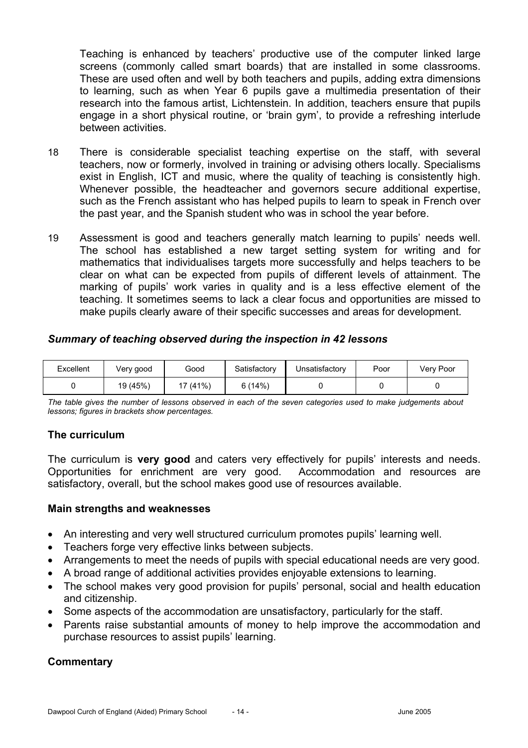Teaching is enhanced by teachers' productive use of the computer linked large screens (commonly called smart boards) that are installed in some classrooms. These are used often and well by both teachers and pupils, adding extra dimensions to learning, such as when Year 6 pupils gave a multimedia presentation of their research into the famous artist, Lichtenstein. In addition, teachers ensure that pupils engage in a short physical routine, or 'brain gym', to provide a refreshing interlude between activities.

- 18 There is considerable specialist teaching expertise on the staff, with several teachers, now or formerly, involved in training or advising others locally. Specialisms exist in English, ICT and music, where the quality of teaching is consistently high. Whenever possible, the headteacher and governors secure additional expertise, such as the French assistant who has helped pupils to learn to speak in French over the past year, and the Spanish student who was in school the year before.
- 19 Assessment is good and teachers generally match learning to pupils' needs well. The school has established a new target setting system for writing and for mathematics that individualises targets more successfully and helps teachers to be clear on what can be expected from pupils of different levels of attainment. The marking of pupils' work varies in quality and is a less effective element of the teaching. It sometimes seems to lack a clear focus and opportunities are missed to make pupils clearly aware of their specific successes and areas for development.

# *Summary of teaching observed during the inspection in 42 lessons*

| Excellent | Very good | Good     | Satisfactory | Unsatisfactory | Poor | Very Poor |
|-----------|-----------|----------|--------------|----------------|------|-----------|
|           | 19 (45%)  | 17 (41%) | 6(14%)       |                |      |           |

*The table gives the number of lessons observed in each of the seven categories used to make judgements about lessons; figures in brackets show percentages.* 

## **The curriculum**

The curriculum is **very good** and caters very effectively for pupils' interests and needs. Opportunities for enrichment are very good. Accommodation and resources are satisfactory, overall, but the school makes good use of resources available.

#### **Main strengths and weaknesses**

- An interesting and very well structured curriculum promotes pupils' learning well.
- Teachers forge very effective links between subjects.
- Arrangements to meet the needs of pupils with special educational needs are very good.
- A broad range of additional activities provides enjoyable extensions to learning.
- The school makes very good provision for pupils' personal, social and health education and citizenship.
- Some aspects of the accommodation are unsatisfactory, particularly for the staff.
- Parents raise substantial amounts of money to help improve the accommodation and purchase resources to assist pupils' learning.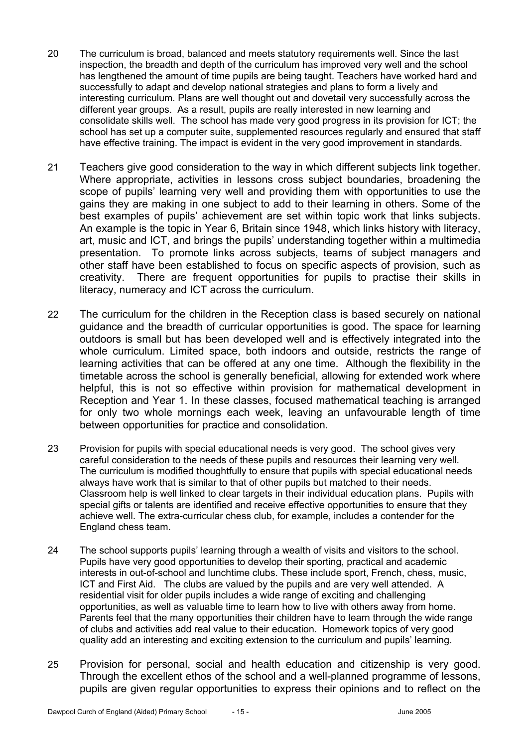- 20 The curriculum is broad, balanced and meets statutory requirements well. Since the last inspection, the breadth and depth of the curriculum has improved very well and the school has lengthened the amount of time pupils are being taught. Teachers have worked hard and successfully to adapt and develop national strategies and plans to form a lively and interesting curriculum. Plans are well thought out and dovetail very successfully across the different year groups. As a result, pupils are really interested in new learning and consolidate skills well. The school has made very good progress in its provision for ICT; the school has set up a computer suite, supplemented resources regularly and ensured that staff have effective training. The impact is evident in the very good improvement in standards.
- 21 Teachers give good consideration to the way in which different subjects link together. Where appropriate, activities in lessons cross subject boundaries, broadening the scope of pupils' learning very well and providing them with opportunities to use the gains they are making in one subject to add to their learning in others. Some of the best examples of pupils' achievement are set within topic work that links subjects. An example is the topic in Year 6, Britain since 1948, which links history with literacy, art, music and ICT, and brings the pupils' understanding together within a multimedia presentation. To promote links across subjects, teams of subject managers and other staff have been established to focus on specific aspects of provision, such as creativity. There are frequent opportunities for pupils to practise their skills in literacy, numeracy and ICT across the curriculum.
- 22 The curriculum for the children in the Reception class is based securely on national guidance and the breadth of curricular opportunities is good**.** The space for learning outdoors is small but has been developed well and is effectively integrated into the whole curriculum. Limited space, both indoors and outside, restricts the range of learning activities that can be offered at any one time. Although the flexibility in the timetable across the school is generally beneficial, allowing for extended work where helpful, this is not so effective within provision for mathematical development in Reception and Year 1. In these classes, focused mathematical teaching is arranged for only two whole mornings each week, leaving an unfavourable length of time between opportunities for practice and consolidation.
- 23 Provision for pupils with special educational needs is very good. The school gives very careful consideration to the needs of these pupils and resources their learning very well. The curriculum is modified thoughtfully to ensure that pupils with special educational needs always have work that is similar to that of other pupils but matched to their needs. Classroom help is well linked to clear targets in their individual education plans. Pupils with special gifts or talents are identified and receive effective opportunities to ensure that they achieve well. The extra-curricular chess club, for example, includes a contender for the England chess team.
- 24 The school supports pupils' learning through a wealth of visits and visitors to the school. Pupils have very good opportunities to develop their sporting, practical and academic interests in out-of-school and lunchtime clubs. These include sport, French, chess, music, ICT and First Aid. The clubs are valued by the pupils and are very well attended. A residential visit for older pupils includes a wide range of exciting and challenging opportunities, as well as valuable time to learn how to live with others away from home. Parents feel that the many opportunities their children have to learn through the wide range of clubs and activities add real value to their education. Homework topics of very good quality add an interesting and exciting extension to the curriculum and pupils' learning.
- 25 Provision for personal, social and health education and citizenship is very good. Through the excellent ethos of the school and a well-planned programme of lessons, pupils are given regular opportunities to express their opinions and to reflect on the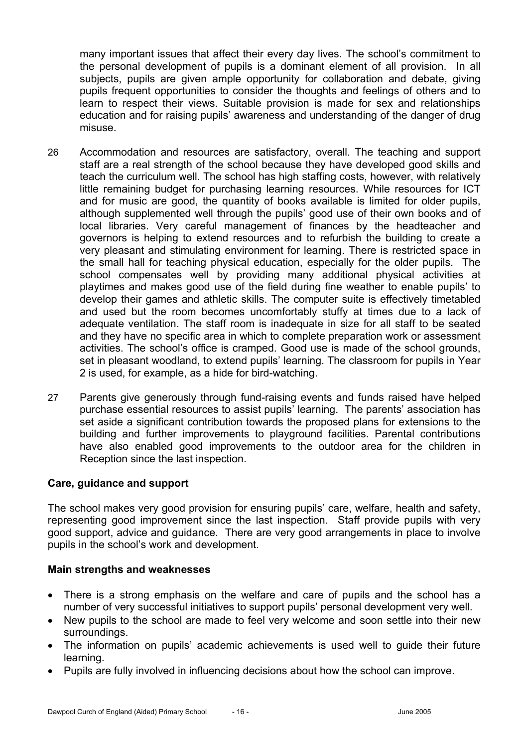many important issues that affect their every day lives. The school's commitment to the personal development of pupils is a dominant element of all provision. In all subjects, pupils are given ample opportunity for collaboration and debate, giving pupils frequent opportunities to consider the thoughts and feelings of others and to learn to respect their views. Suitable provision is made for sex and relationships education and for raising pupils' awareness and understanding of the danger of drug misuse.

- 26 Accommodation and resources are satisfactory, overall. The teaching and support staff are a real strength of the school because they have developed good skills and teach the curriculum well. The school has high staffing costs, however, with relatively little remaining budget for purchasing learning resources. While resources for ICT and for music are good, the quantity of books available is limited for older pupils, although supplemented well through the pupils' good use of their own books and of local libraries. Very careful management of finances by the headteacher and governors is helping to extend resources and to refurbish the building to create a very pleasant and stimulating environment for learning. There is restricted space in the small hall for teaching physical education, especially for the older pupils. The school compensates well by providing many additional physical activities at playtimes and makes good use of the field during fine weather to enable pupils' to develop their games and athletic skills. The computer suite is effectively timetabled and used but the room becomes uncomfortably stuffy at times due to a lack of adequate ventilation. The staff room is inadequate in size for all staff to be seated and they have no specific area in which to complete preparation work or assessment activities. The school's office is cramped. Good use is made of the school grounds, set in pleasant woodland, to extend pupils' learning. The classroom for pupils in Year 2 is used, for example, as a hide for bird-watching.
- 27 Parents give generously through fund-raising events and funds raised have helped purchase essential resources to assist pupils' learning. The parents' association has set aside a significant contribution towards the proposed plans for extensions to the building and further improvements to playground facilities. Parental contributions have also enabled good improvements to the outdoor area for the children in Reception since the last inspection.

## **Care, guidance and support**

The school makes very good provision for ensuring pupils' care, welfare, health and safety, representing good improvement since the last inspection. Staff provide pupils with very good support, advice and guidance. There are very good arrangements in place to involve pupils in the school's work and development.

## **Main strengths and weaknesses**

- There is a strong emphasis on the welfare and care of pupils and the school has a number of very successful initiatives to support pupils' personal development very well.
- New pupils to the school are made to feel very welcome and soon settle into their new surroundings.
- The information on pupils' academic achievements is used well to guide their future learning.
- Pupils are fully involved in influencing decisions about how the school can improve.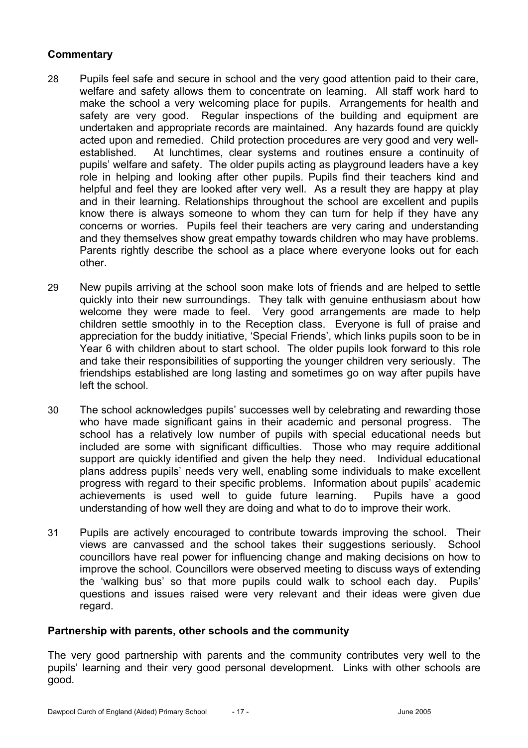# **Commentary**

- 28 Pupils feel safe and secure in school and the very good attention paid to their care, welfare and safety allows them to concentrate on learning. All staff work hard to make the school a very welcoming place for pupils. Arrangements for health and safety are very good. Regular inspections of the building and equipment are undertaken and appropriate records are maintained. Any hazards found are quickly acted upon and remedied. Child protection procedures are very good and very wellestablished. At lunchtimes, clear systems and routines ensure a continuity of pupils' welfare and safety. The older pupils acting as playground leaders have a key role in helping and looking after other pupils. Pupils find their teachers kind and helpful and feel they are looked after very well. As a result they are happy at play and in their learning. Relationships throughout the school are excellent and pupils know there is always someone to whom they can turn for help if they have any concerns or worries. Pupils feel their teachers are very caring and understanding and they themselves show great empathy towards children who may have problems. Parents rightly describe the school as a place where everyone looks out for each other.
- 29 New pupils arriving at the school soon make lots of friends and are helped to settle quickly into their new surroundings. They talk with genuine enthusiasm about how welcome they were made to feel. Very good arrangements are made to help children settle smoothly in to the Reception class. Everyone is full of praise and appreciation for the buddy initiative, 'Special Friends', which links pupils soon to be in Year 6 with children about to start school. The older pupils look forward to this role and take their responsibilities of supporting the younger children very seriously. The friendships established are long lasting and sometimes go on way after pupils have left the school.
- 30 The school acknowledges pupils' successes well by celebrating and rewarding those who have made significant gains in their academic and personal progress. The school has a relatively low number of pupils with special educational needs but included are some with significant difficulties. Those who may require additional support are quickly identified and given the help they need. Individual educational plans address pupils' needs very well, enabling some individuals to make excellent progress with regard to their specific problems. Information about pupils' academic achievements is used well to guide future learning. Pupils have a good understanding of how well they are doing and what to do to improve their work.
- 31 Pupils are actively encouraged to contribute towards improving the school. Their views are canvassed and the school takes their suggestions seriously. School councillors have real power for influencing change and making decisions on how to improve the school. Councillors were observed meeting to discuss ways of extending the 'walking bus' so that more pupils could walk to school each day. Pupils' questions and issues raised were very relevant and their ideas were given due regard.

## **Partnership with parents, other schools and the community**

The very good partnership with parents and the community contributes very well to the pupils' learning and their very good personal development. Links with other schools are good.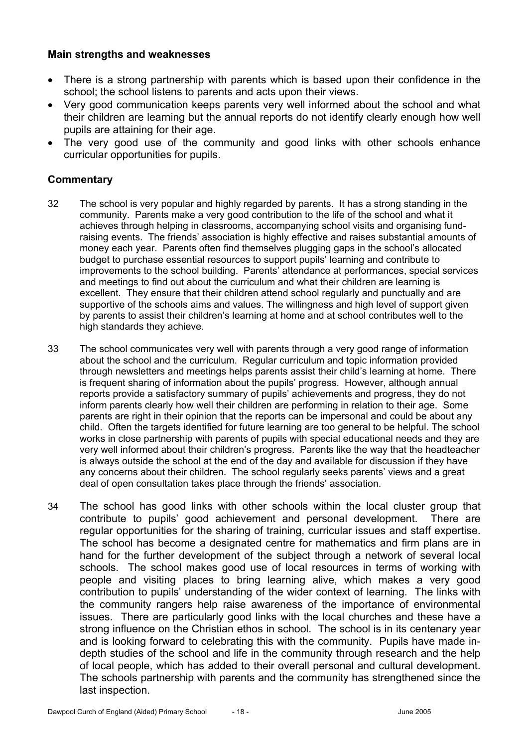## **Main strengths and weaknesses**

- There is a strong partnership with parents which is based upon their confidence in the school; the school listens to parents and acts upon their views.
- Very good communication keeps parents very well informed about the school and what their children are learning but the annual reports do not identify clearly enough how well pupils are attaining for their age.
- The very good use of the community and good links with other schools enhance curricular opportunities for pupils.

- 32 The school is very popular and highly regarded by parents. It has a strong standing in the community. Parents make a very good contribution to the life of the school and what it achieves through helping in classrooms, accompanying school visits and organising fundraising events. The friends' association is highly effective and raises substantial amounts of money each year. Parents often find themselves plugging gaps in the school's allocated budget to purchase essential resources to support pupils' learning and contribute to improvements to the school building. Parents' attendance at performances, special services and meetings to find out about the curriculum and what their children are learning is excellent. They ensure that their children attend school regularly and punctually and are supportive of the schools aims and values. The willingness and high level of support given by parents to assist their children's learning at home and at school contributes well to the high standards they achieve.
- 33 The school communicates very well with parents through a very good range of information about the school and the curriculum. Regular curriculum and topic information provided through newsletters and meetings helps parents assist their child's learning at home. There is frequent sharing of information about the pupils' progress. However, although annual reports provide a satisfactory summary of pupils' achievements and progress, they do not inform parents clearly how well their children are performing in relation to their age. Some parents are right in their opinion that the reports can be impersonal and could be about any child. Often the targets identified for future learning are too general to be helpful. The school works in close partnership with parents of pupils with special educational needs and they are very well informed about their children's progress. Parents like the way that the headteacher is always outside the school at the end of the day and available for discussion if they have any concerns about their children. The school regularly seeks parents' views and a great deal of open consultation takes place through the friends' association.
- 34 The school has good links with other schools within the local cluster group that contribute to pupils' good achievement and personal development. There are regular opportunities for the sharing of training, curricular issues and staff expertise. The school has become a designated centre for mathematics and firm plans are in hand for the further development of the subject through a network of several local schools. The school makes good use of local resources in terms of working with people and visiting places to bring learning alive, which makes a very good contribution to pupils' understanding of the wider context of learning. The links with the community rangers help raise awareness of the importance of environmental issues. There are particularly good links with the local churches and these have a strong influence on the Christian ethos in school. The school is in its centenary year and is looking forward to celebrating this with the community. Pupils have made indepth studies of the school and life in the community through research and the help of local people, which has added to their overall personal and cultural development. The schools partnership with parents and the community has strengthened since the last inspection.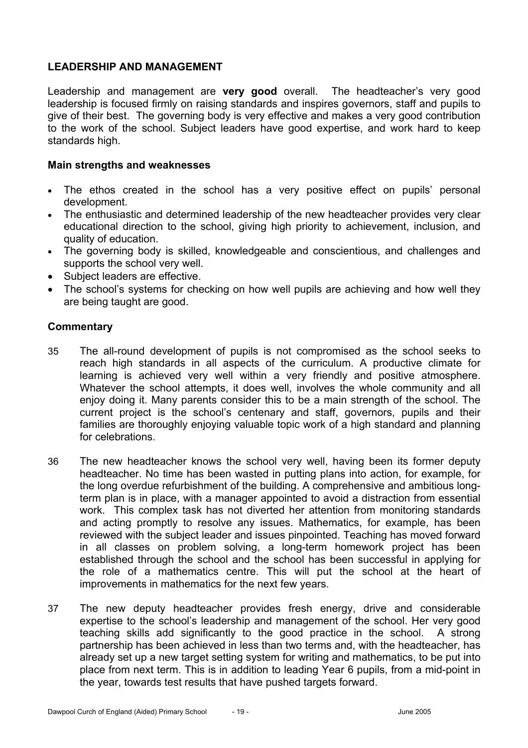# **LEADERSHIP AND MANAGEMENT**

Leadership and management are **very good** overall. The headteacher's very good leadership is focused firmly on raising standards and inspires governors, staff and pupils to give of their best. The governing body is very effective and makes a very good contribution to the work of the school. Subject leaders have good expertise, and work hard to keep standards high.

#### **Main strengths and weaknesses**

- The ethos created in the school has a very positive effect on pupils' personal development.
- The enthusiastic and determined leadership of the new headteacher provides very clear educational direction to the school, giving high priority to achievement, inclusion, and quality of education.
- The governing body is skilled, knowledgeable and conscientious, and challenges and supports the school very well.
- Subject leaders are effective.
- The school's systems for checking on how well pupils are achieving and how well they are being taught are good.

- 35 The all-round development of pupils is not compromised as the school seeks to reach high standards in all aspects of the curriculum. A productive climate for learning is achieved very well within a very friendly and positive atmosphere. Whatever the school attempts, it does well, involves the whole community and all enjoy doing it. Many parents consider this to be a main strength of the school. The current project is the school's centenary and staff, governors, pupils and their families are thoroughly enjoying valuable topic work of a high standard and planning for celebrations.
- 36 The new headteacher knows the school very well, having been its former deputy headteacher. No time has been wasted in putting plans into action, for example, for the long overdue refurbishment of the building. A comprehensive and ambitious longterm plan is in place, with a manager appointed to avoid a distraction from essential work. This complex task has not diverted her attention from monitoring standards and acting promptly to resolve any issues. Mathematics, for example, has been reviewed with the subject leader and issues pinpointed. Teaching has moved forward in all classes on problem solving, a long-term homework project has been established through the school and the school has been successful in applying for the role of a mathematics centre. This will put the school at the heart of improvements in mathematics for the next few years.
- 37 The new deputy headteacher provides fresh energy, drive and considerable expertise to the school's leadership and management of the school. Her very good teaching skills add significantly to the good practice in the school. A strong partnership has been achieved in less than two terms and, with the headteacher, has already set up a new target setting system for writing and mathematics, to be put into place from next term. This is in addition to leading Year 6 pupils, from a mid-point in the year, towards test results that have pushed targets forward.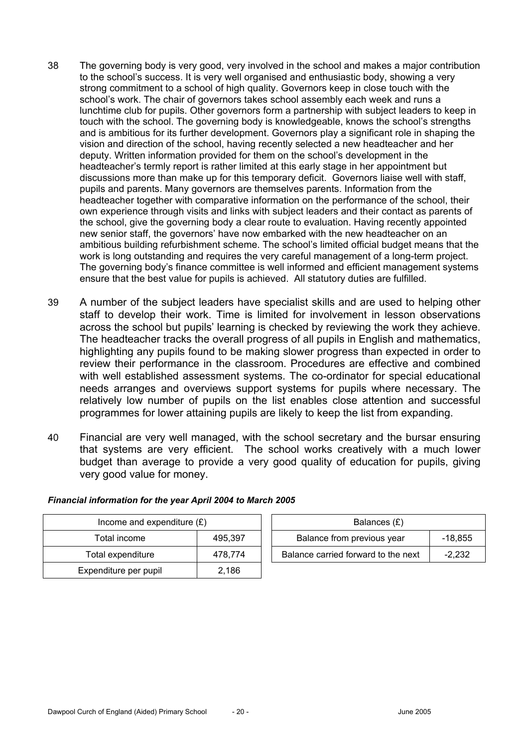- 38 The governing body is very good, very involved in the school and makes a major contribution to the school's success. It is very well organised and enthusiastic body, showing a very strong commitment to a school of high quality. Governors keep in close touch with the school's work. The chair of governors takes school assembly each week and runs a lunchtime club for pupils. Other governors form a partnership with subject leaders to keep in touch with the school. The governing body is knowledgeable, knows the school's strengths and is ambitious for its further development. Governors play a significant role in shaping the vision and direction of the school, having recently selected a new headteacher and her deputy. Written information provided for them on the school's development in the headteacher's termly report is rather limited at this early stage in her appointment but discussions more than make up for this temporary deficit. Governors liaise well with staff, pupils and parents. Many governors are themselves parents. Information from the headteacher together with comparative information on the performance of the school, their own experience through visits and links with subject leaders and their contact as parents of the school, give the governing body a clear route to evaluation. Having recently appointed new senior staff, the governors' have now embarked with the new headteacher on an ambitious building refurbishment scheme. The school's limited official budget means that the work is long outstanding and requires the very careful management of a long-term project. The governing body's finance committee is well informed and efficient management systems ensure that the best value for pupils is achieved. All statutory duties are fulfilled.
- 39 A number of the subject leaders have specialist skills and are used to helping other staff to develop their work. Time is limited for involvement in lesson observations across the school but pupils' learning is checked by reviewing the work they achieve. The headteacher tracks the overall progress of all pupils in English and mathematics, highlighting any pupils found to be making slower progress than expected in order to review their performance in the classroom. Procedures are effective and combined with well established assessment systems. The co-ordinator for special educational needs arranges and overviews support systems for pupils where necessary. The relatively low number of pupils on the list enables close attention and successful programmes for lower attaining pupils are likely to keep the list from expanding.
- 40 Financial are very well managed, with the school secretary and the bursar ensuring that systems are very efficient. The school works creatively with a much lower budget than average to provide a very good quality of education for pupils, giving very good value for money.

| Income and expenditure $(E)$   |         | Balances (£)                        |           |
|--------------------------------|---------|-------------------------------------|-----------|
| Total income                   | 495.397 | Balance from previous year          | $-18,855$ |
| Total expenditure              | 478.774 | Balance carried forward to the next | $-2.232$  |
| Expenditure per pupil<br>2,186 |         |                                     |           |

#### *Financial information for the year April 2004 to March 2005*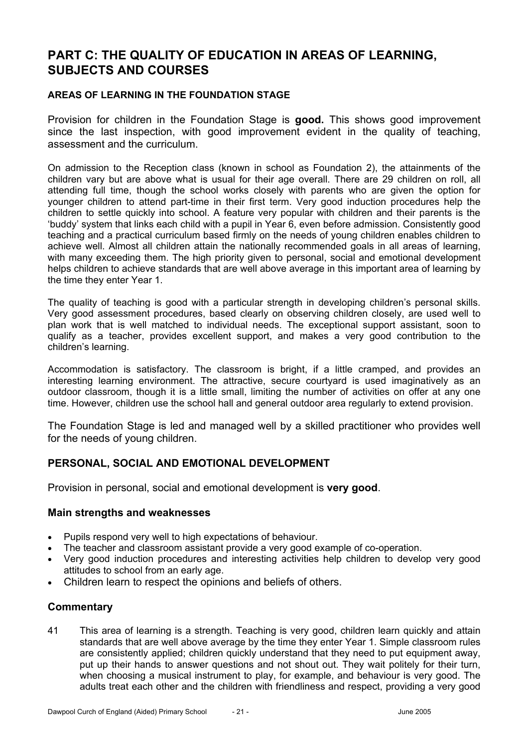# **PART C: THE QUALITY OF EDUCATION IN AREAS OF LEARNING, SUBJECTS AND COURSES**

#### **AREAS OF LEARNING IN THE FOUNDATION STAGE**

Provision for children in the Foundation Stage is **good.** This shows good improvement since the last inspection, with good improvement evident in the quality of teaching, assessment and the curriculum.

On admission to the Reception class (known in school as Foundation 2), the attainments of the children vary but are above what is usual for their age overall. There are 29 children on roll, all attending full time, though the school works closely with parents who are given the option for younger children to attend part-time in their first term. Very good induction procedures help the children to settle quickly into school. A feature very popular with children and their parents is the 'buddy' system that links each child with a pupil in Year 6, even before admission. Consistently good teaching and a practical curriculum based firmly on the needs of young children enables children to achieve well. Almost all children attain the nationally recommended goals in all areas of learning, with many exceeding them. The high priority given to personal, social and emotional development helps children to achieve standards that are well above average in this important area of learning by the time they enter Year 1.

The quality of teaching is good with a particular strength in developing children's personal skills. Very good assessment procedures, based clearly on observing children closely, are used well to plan work that is well matched to individual needs. The exceptional support assistant, soon to qualify as a teacher, provides excellent support, and makes a very good contribution to the children's learning.

Accommodation is satisfactory. The classroom is bright, if a little cramped, and provides an interesting learning environment. The attractive, secure courtyard is used imaginatively as an outdoor classroom, though it is a little small, limiting the number of activities on offer at any one time. However, children use the school hall and general outdoor area regularly to extend provision.

The Foundation Stage is led and managed well by a skilled practitioner who provides well for the needs of young children.

## **PERSONAL, SOCIAL AND EMOTIONAL DEVELOPMENT**

Provision in personal, social and emotional development is **very good**.

#### **Main strengths and weaknesses**

- Pupils respond very well to high expectations of behaviour.
- The teacher and classroom assistant provide a very good example of co-operation.
- Very good induction procedures and interesting activities help children to develop very good attitudes to school from an early age.
- Children learn to respect the opinions and beliefs of others.

## **Commentary**

41 This area of learning is a strength. Teaching is very good, children learn quickly and attain standards that are well above average by the time they enter Year 1. Simple classroom rules are consistently applied; children quickly understand that they need to put equipment away, put up their hands to answer questions and not shout out. They wait politely for their turn, when choosing a musical instrument to play, for example, and behaviour is very good. The adults treat each other and the children with friendliness and respect, providing a very good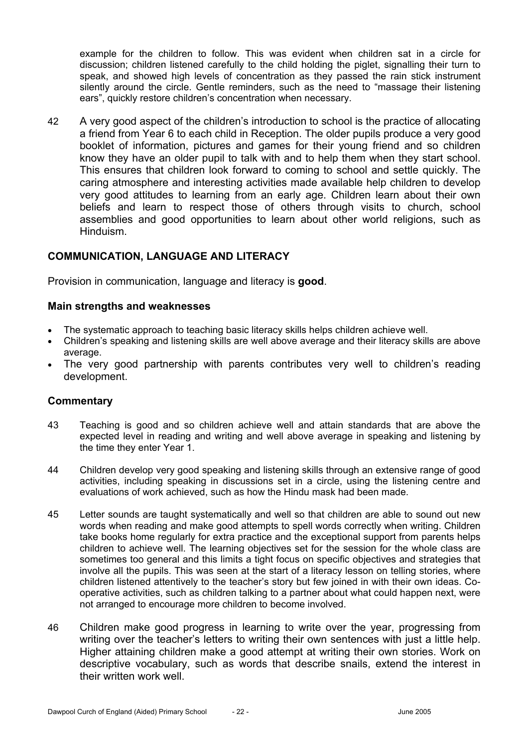example for the children to follow. This was evident when children sat in a circle for discussion; children listened carefully to the child holding the piglet, signalling their turn to speak, and showed high levels of concentration as they passed the rain stick instrument silently around the circle. Gentle reminders, such as the need to "massage their listening ears", quickly restore children's concentration when necessary.

42 A very good aspect of the children's introduction to school is the practice of allocating a friend from Year 6 to each child in Reception. The older pupils produce a very good booklet of information, pictures and games for their young friend and so children know they have an older pupil to talk with and to help them when they start school. This ensures that children look forward to coming to school and settle quickly. The caring atmosphere and interesting activities made available help children to develop very good attitudes to learning from an early age. Children learn about their own beliefs and learn to respect those of others through visits to church, school assemblies and good opportunities to learn about other world religions, such as Hinduism.

## **COMMUNICATION, LANGUAGE AND LITERACY**

Provision in communication, language and literacy is **good**.

#### **Main strengths and weaknesses**

- The systematic approach to teaching basic literacy skills helps children achieve well.
- Children's speaking and listening skills are well above average and their literacy skills are above average.
- The very good partnership with parents contributes very well to children's reading development.

- 43 Teaching is good and so children achieve well and attain standards that are above the expected level in reading and writing and well above average in speaking and listening by the time they enter Year 1.
- 44 Children develop very good speaking and listening skills through an extensive range of good activities, including speaking in discussions set in a circle, using the listening centre and evaluations of work achieved, such as how the Hindu mask had been made.
- 45 Letter sounds are taught systematically and well so that children are able to sound out new words when reading and make good attempts to spell words correctly when writing. Children take books home regularly for extra practice and the exceptional support from parents helps children to achieve well. The learning objectives set for the session for the whole class are sometimes too general and this limits a tight focus on specific objectives and strategies that involve all the pupils. This was seen at the start of a literacy lesson on telling stories, where children listened attentively to the teacher's story but few joined in with their own ideas. Cooperative activities, such as children talking to a partner about what could happen next, were not arranged to encourage more children to become involved.
- 46 Children make good progress in learning to write over the year, progressing from writing over the teacher's letters to writing their own sentences with just a little help. Higher attaining children make a good attempt at writing their own stories. Work on descriptive vocabulary, such as words that describe snails, extend the interest in their written work well.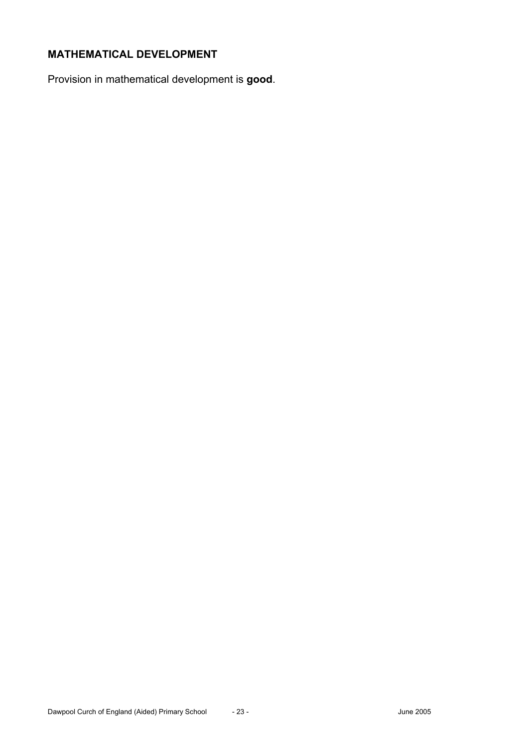# **MATHEMATICAL DEVELOPMENT**

Provision in mathematical development is **good**.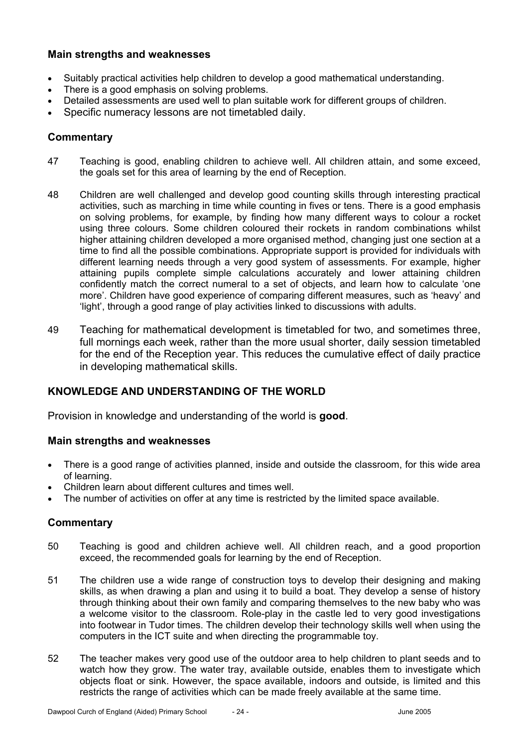## **Main strengths and weaknesses**

- Suitably practical activities help children to develop a good mathematical understanding.
- There is a good emphasis on solving problems.
- Detailed assessments are used well to plan suitable work for different groups of children.
- Specific numeracy lessons are not timetabled daily.

#### **Commentary**

- 47 Teaching is good, enabling children to achieve well. All children attain, and some exceed, the goals set for this area of learning by the end of Reception.
- 48 Children are well challenged and develop good counting skills through interesting practical activities, such as marching in time while counting in fives or tens. There is a good emphasis on solving problems, for example, by finding how many different ways to colour a rocket using three colours. Some children coloured their rockets in random combinations whilst higher attaining children developed a more organised method, changing just one section at a time to find all the possible combinations. Appropriate support is provided for individuals with different learning needs through a very good system of assessments. For example, higher attaining pupils complete simple calculations accurately and lower attaining children confidently match the correct numeral to a set of objects, and learn how to calculate 'one more'. Children have good experience of comparing different measures, such as 'heavy' and 'light', through a good range of play activities linked to discussions with adults.
- 49 Teaching for mathematical development is timetabled for two, and sometimes three, full mornings each week, rather than the more usual shorter, daily session timetabled for the end of the Reception year. This reduces the cumulative effect of daily practice in developing mathematical skills.

## **KNOWLEDGE AND UNDERSTANDING OF THE WORLD**

Provision in knowledge and understanding of the world is **good**.

#### **Main strengths and weaknesses**

- There is a good range of activities planned, inside and outside the classroom, for this wide area of learning.
- Children learn about different cultures and times well.
- The number of activities on offer at any time is restricted by the limited space available.

- 50 Teaching is good and children achieve well. All children reach, and a good proportion exceed, the recommended goals for learning by the end of Reception.
- 51 The children use a wide range of construction toys to develop their designing and making skills, as when drawing a plan and using it to build a boat. They develop a sense of history through thinking about their own family and comparing themselves to the new baby who was a welcome visitor to the classroom. Role-play in the castle led to very good investigations into footwear in Tudor times. The children develop their technology skills well when using the computers in the ICT suite and when directing the programmable toy.
- 52 The teacher makes very good use of the outdoor area to help children to plant seeds and to watch how they grow. The water tray, available outside, enables them to investigate which objects float or sink. However, the space available, indoors and outside, is limited and this restricts the range of activities which can be made freely available at the same time.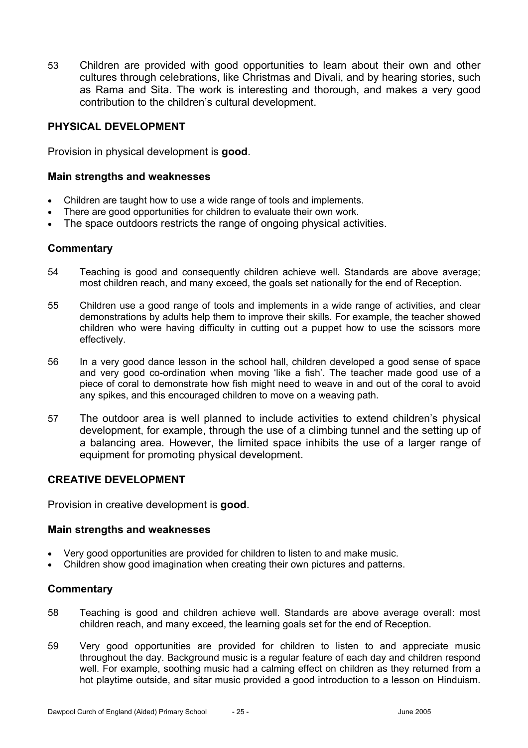53 Children are provided with good opportunities to learn about their own and other cultures through celebrations, like Christmas and Divali, and by hearing stories, such as Rama and Sita. The work is interesting and thorough, and makes a very good contribution to the children's cultural development.

## **PHYSICAL DEVELOPMENT**

Provision in physical development is **good**.

#### **Main strengths and weaknesses**

- Children are taught how to use a wide range of tools and implements.
- There are good opportunities for children to evaluate their own work.
- The space outdoors restricts the range of ongoing physical activities.

#### **Commentary**

- 54 Teaching is good and consequently children achieve well. Standards are above average; most children reach, and many exceed, the goals set nationally for the end of Reception.
- 55 Children use a good range of tools and implements in a wide range of activities, and clear demonstrations by adults help them to improve their skills. For example, the teacher showed children who were having difficulty in cutting out a puppet how to use the scissors more effectively.
- 56 In a very good dance lesson in the school hall, children developed a good sense of space and very good co-ordination when moving 'like a fish'. The teacher made good use of a piece of coral to demonstrate how fish might need to weave in and out of the coral to avoid any spikes, and this encouraged children to move on a weaving path.
- 57 The outdoor area is well planned to include activities to extend children's physical development, for example, through the use of a climbing tunnel and the setting up of a balancing area. However, the limited space inhibits the use of a larger range of equipment for promoting physical development.

## **CREATIVE DEVELOPMENT**

Provision in creative development is **good**.

#### **Main strengths and weaknesses**

- Very good opportunities are provided for children to listen to and make music.
- Children show good imagination when creating their own pictures and patterns.

- 58 Teaching is good and children achieve well. Standards are above average overall: most children reach, and many exceed, the learning goals set for the end of Reception.
- 59 Very good opportunities are provided for children to listen to and appreciate music throughout the day. Background music is a regular feature of each day and children respond well. For example, soothing music had a calming effect on children as they returned from a hot playtime outside, and sitar music provided a good introduction to a lesson on Hinduism.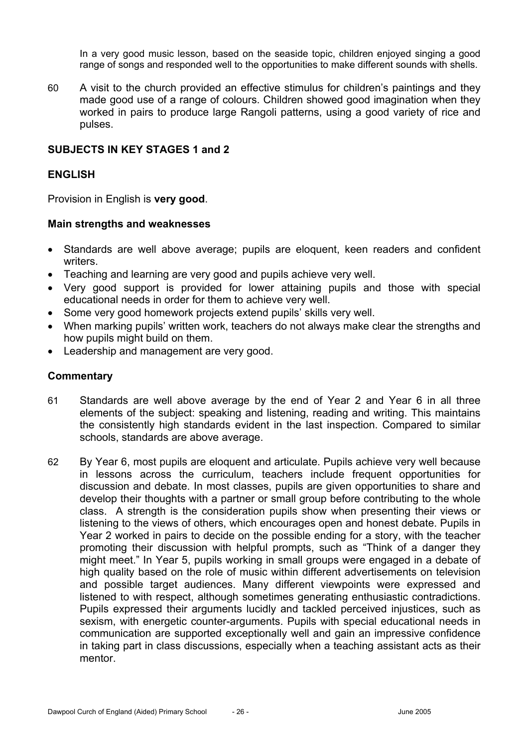In a very good music lesson, based on the seaside topic, children enjoyed singing a good range of songs and responded well to the opportunities to make different sounds with shells.

60 A visit to the church provided an effective stimulus for children's paintings and they made good use of a range of colours. Children showed good imagination when they worked in pairs to produce large Rangoli patterns, using a good variety of rice and pulses.

#### **SUBJECTS IN KEY STAGES 1 and 2**

#### **ENGLISH**

Provision in English is **very good**.

#### **Main strengths and weaknesses**

- Standards are well above average; pupils are eloquent, keen readers and confident writers.
- Teaching and learning are very good and pupils achieve very well.
- Very good support is provided for lower attaining pupils and those with special educational needs in order for them to achieve very well.
- Some very good homework projects extend pupils' skills very well.
- When marking pupils' written work, teachers do not always make clear the strengths and how pupils might build on them.
- Leadership and management are very good.

- 61 Standards are well above average by the end of Year 2 and Year 6 in all three elements of the subject: speaking and listening, reading and writing. This maintains the consistently high standards evident in the last inspection. Compared to similar schools, standards are above average.
- 62 By Year 6, most pupils are eloquent and articulate. Pupils achieve very well because in lessons across the curriculum, teachers include frequent opportunities for discussion and debate. In most classes, pupils are given opportunities to share and develop their thoughts with a partner or small group before contributing to the whole class. A strength is the consideration pupils show when presenting their views or listening to the views of others, which encourages open and honest debate. Pupils in Year 2 worked in pairs to decide on the possible ending for a story, with the teacher promoting their discussion with helpful prompts, such as "Think of a danger they might meet." In Year 5, pupils working in small groups were engaged in a debate of high quality based on the role of music within different advertisements on television and possible target audiences. Many different viewpoints were expressed and listened to with respect, although sometimes generating enthusiastic contradictions. Pupils expressed their arguments lucidly and tackled perceived injustices, such as sexism, with energetic counter-arguments. Pupils with special educational needs in communication are supported exceptionally well and gain an impressive confidence in taking part in class discussions, especially when a teaching assistant acts as their mentor.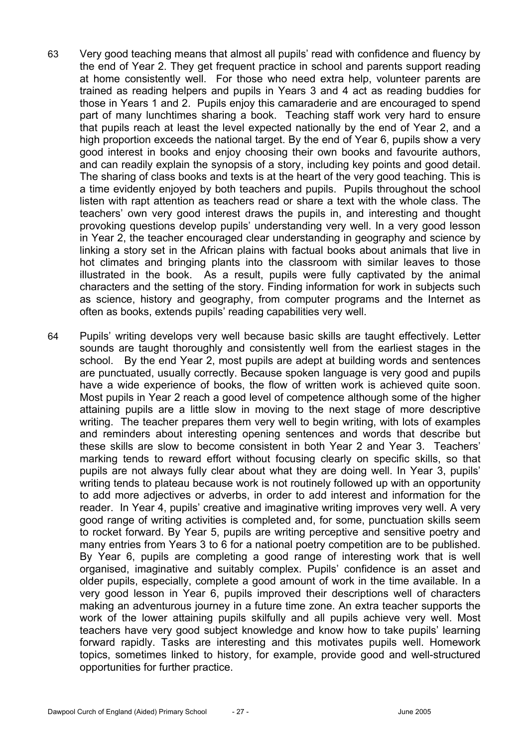- 63 Very good teaching means that almost all pupils' read with confidence and fluency by the end of Year 2. They get frequent practice in school and parents support reading at home consistently well. For those who need extra help, volunteer parents are trained as reading helpers and pupils in Years 3 and 4 act as reading buddies for those in Years 1 and 2. Pupils enjoy this camaraderie and are encouraged to spend part of many lunchtimes sharing a book. Teaching staff work very hard to ensure that pupils reach at least the level expected nationally by the end of Year 2, and a high proportion exceeds the national target. By the end of Year 6, pupils show a very good interest in books and enjoy choosing their own books and favourite authors, and can readily explain the synopsis of a story, including key points and good detail. The sharing of class books and texts is at the heart of the very good teaching. This is a time evidently enjoyed by both teachers and pupils. Pupils throughout the school listen with rapt attention as teachers read or share a text with the whole class. The teachers' own very good interest draws the pupils in, and interesting and thought provoking questions develop pupils' understanding very well. In a very good lesson in Year 2, the teacher encouraged clear understanding in geography and science by linking a story set in the African plains with factual books about animals that live in hot climates and bringing plants into the classroom with similar leaves to those illustrated in the book. As a result, pupils were fully captivated by the animal characters and the setting of the story. Finding information for work in subjects such as science, history and geography, from computer programs and the Internet as often as books, extends pupils' reading capabilities very well.
- 64 Pupils' writing develops very well because basic skills are taught effectively. Letter sounds are taught thoroughly and consistently well from the earliest stages in the school. By the end Year 2, most pupils are adept at building words and sentences are punctuated, usually correctly. Because spoken language is very good and pupils have a wide experience of books, the flow of written work is achieved quite soon. Most pupils in Year 2 reach a good level of competence although some of the higher attaining pupils are a little slow in moving to the next stage of more descriptive writing. The teacher prepares them very well to begin writing, with lots of examples and reminders about interesting opening sentences and words that describe but these skills are slow to become consistent in both Year 2 and Year 3. Teachers' marking tends to reward effort without focusing clearly on specific skills, so that pupils are not always fully clear about what they are doing well. In Year 3, pupils' writing tends to plateau because work is not routinely followed up with an opportunity to add more adjectives or adverbs, in order to add interest and information for the reader. In Year 4, pupils' creative and imaginative writing improves very well. A very good range of writing activities is completed and, for some, punctuation skills seem to rocket forward. By Year 5, pupils are writing perceptive and sensitive poetry and many entries from Years 3 to 6 for a national poetry competition are to be published. By Year 6, pupils are completing a good range of interesting work that is well organised, imaginative and suitably complex. Pupils' confidence is an asset and older pupils, especially, complete a good amount of work in the time available. In a very good lesson in Year 6, pupils improved their descriptions well of characters making an adventurous journey in a future time zone. An extra teacher supports the work of the lower attaining pupils skilfully and all pupils achieve very well. Most teachers have very good subject knowledge and know how to take pupils' learning forward rapidly. Tasks are interesting and this motivates pupils well. Homework topics, sometimes linked to history, for example, provide good and well-structured opportunities for further practice.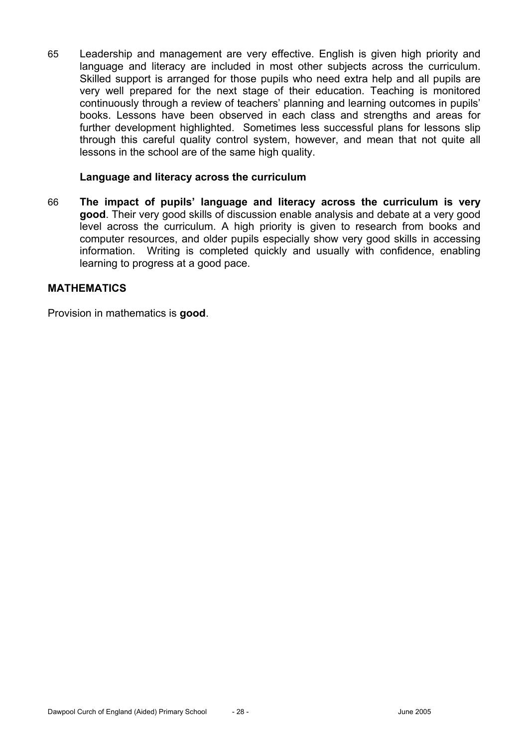65 Leadership and management are very effective. English is given high priority and language and literacy are included in most other subjects across the curriculum. Skilled support is arranged for those pupils who need extra help and all pupils are very well prepared for the next stage of their education. Teaching is monitored continuously through a review of teachers' planning and learning outcomes in pupils' books. Lessons have been observed in each class and strengths and areas for further development highlighted. Sometimes less successful plans for lessons slip through this careful quality control system, however, and mean that not quite all lessons in the school are of the same high quality.

#### **Language and literacy across the curriculum**

66 **The impact of pupils' language and literacy across the curriculum is very good**. Their very good skills of discussion enable analysis and debate at a very good level across the curriculum. A high priority is given to research from books and computer resources, and older pupils especially show very good skills in accessing information. Writing is completed quickly and usually with confidence, enabling learning to progress at a good pace.

## **MATHEMATICS**

Provision in mathematics is **good**.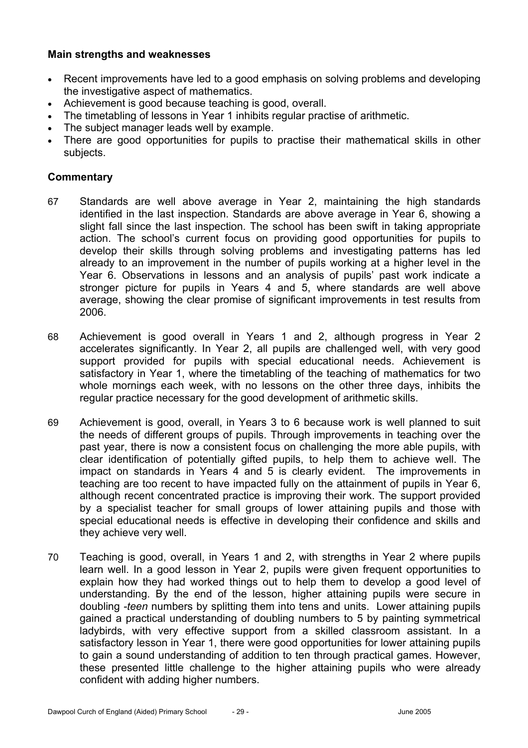## **Main strengths and weaknesses**

- Recent improvements have led to a good emphasis on solving problems and developing the investigative aspect of mathematics.
- Achievement is good because teaching is good, overall.
- The timetabling of lessons in Year 1 inhibits regular practise of arithmetic.
- The subject manager leads well by example.
- There are good opportunities for pupils to practise their mathematical skills in other subjects.

- 67 Standards are well above average in Year 2, maintaining the high standards identified in the last inspection. Standards are above average in Year 6, showing a slight fall since the last inspection. The school has been swift in taking appropriate action. The school's current focus on providing good opportunities for pupils to develop their skills through solving problems and investigating patterns has led already to an improvement in the number of pupils working at a higher level in the Year 6. Observations in lessons and an analysis of pupils' past work indicate a stronger picture for pupils in Years 4 and 5, where standards are well above average, showing the clear promise of significant improvements in test results from 2006.
- 68 Achievement is good overall in Years 1 and 2, although progress in Year 2 accelerates significantly. In Year 2, all pupils are challenged well, with very good support provided for pupils with special educational needs. Achievement is satisfactory in Year 1, where the timetabling of the teaching of mathematics for two whole mornings each week, with no lessons on the other three days, inhibits the regular practice necessary for the good development of arithmetic skills.
- 69 Achievement is good, overall, in Years 3 to 6 because work is well planned to suit the needs of different groups of pupils. Through improvements in teaching over the past year, there is now a consistent focus on challenging the more able pupils, with clear identification of potentially gifted pupils, to help them to achieve well. The impact on standards in Years 4 and 5 is clearly evident. The improvements in teaching are too recent to have impacted fully on the attainment of pupils in Year 6, although recent concentrated practice is improving their work. The support provided by a specialist teacher for small groups of lower attaining pupils and those with special educational needs is effective in developing their confidence and skills and they achieve very well.
- 70 Teaching is good, overall, in Years 1 and 2, with strengths in Year 2 where pupils learn well. In a good lesson in Year 2, pupils were given frequent opportunities to explain how they had worked things out to help them to develop a good level of understanding. By the end of the lesson, higher attaining pupils were secure in doubling *-teen* numbers by splitting them into tens and units. Lower attaining pupils gained a practical understanding of doubling numbers to 5 by painting symmetrical ladybirds, with very effective support from a skilled classroom assistant. In a satisfactory lesson in Year 1, there were good opportunities for lower attaining pupils to gain a sound understanding of addition to ten through practical games. However, these presented little challenge to the higher attaining pupils who were already confident with adding higher numbers.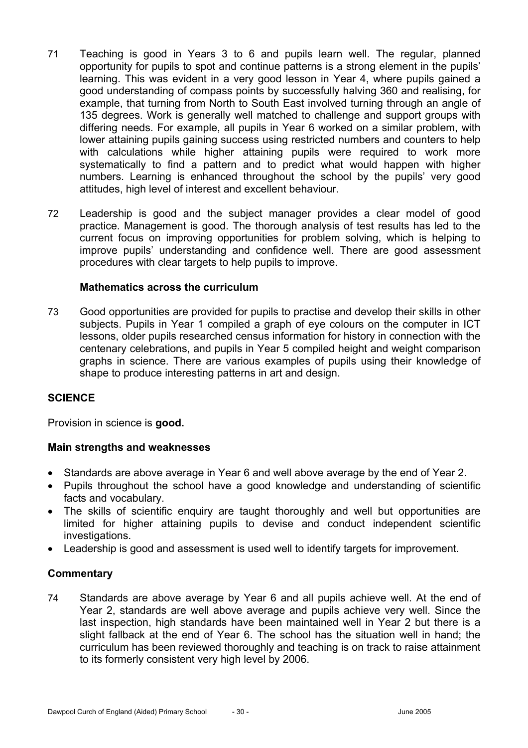- 71 Teaching is good in Years 3 to 6 and pupils learn well. The regular, planned opportunity for pupils to spot and continue patterns is a strong element in the pupils' learning. This was evident in a very good lesson in Year 4, where pupils gained a good understanding of compass points by successfully halving 360 and realising, for example, that turning from North to South East involved turning through an angle of 135 degrees. Work is generally well matched to challenge and support groups with differing needs. For example, all pupils in Year 6 worked on a similar problem, with lower attaining pupils gaining success using restricted numbers and counters to help with calculations while higher attaining pupils were required to work more systematically to find a pattern and to predict what would happen with higher numbers. Learning is enhanced throughout the school by the pupils' very good attitudes, high level of interest and excellent behaviour.
- 72 Leadership is good and the subject manager provides a clear model of good practice. Management is good. The thorough analysis of test results has led to the current focus on improving opportunities for problem solving, which is helping to improve pupils' understanding and confidence well. There are good assessment procedures with clear targets to help pupils to improve.

#### **Mathematics across the curriculum**

73 Good opportunities are provided for pupils to practise and develop their skills in other subjects. Pupils in Year 1 compiled a graph of eye colours on the computer in ICT lessons, older pupils researched census information for history in connection with the centenary celebrations, and pupils in Year 5 compiled height and weight comparison graphs in science. There are various examples of pupils using their knowledge of shape to produce interesting patterns in art and design.

#### **SCIENCE**

Provision in science is **good.**

#### **Main strengths and weaknesses**

- Standards are above average in Year 6 and well above average by the end of Year 2.
- Pupils throughout the school have a good knowledge and understanding of scientific facts and vocabulary.
- The skills of scientific enquiry are taught thoroughly and well but opportunities are limited for higher attaining pupils to devise and conduct independent scientific investigations.
- Leadership is good and assessment is used well to identify targets for improvement.

## **Commentary**

74 Standards are above average by Year 6 and all pupils achieve well. At the end of Year 2, standards are well above average and pupils achieve very well. Since the last inspection, high standards have been maintained well in Year 2 but there is a slight fallback at the end of Year 6. The school has the situation well in hand; the curriculum has been reviewed thoroughly and teaching is on track to raise attainment to its formerly consistent very high level by 2006.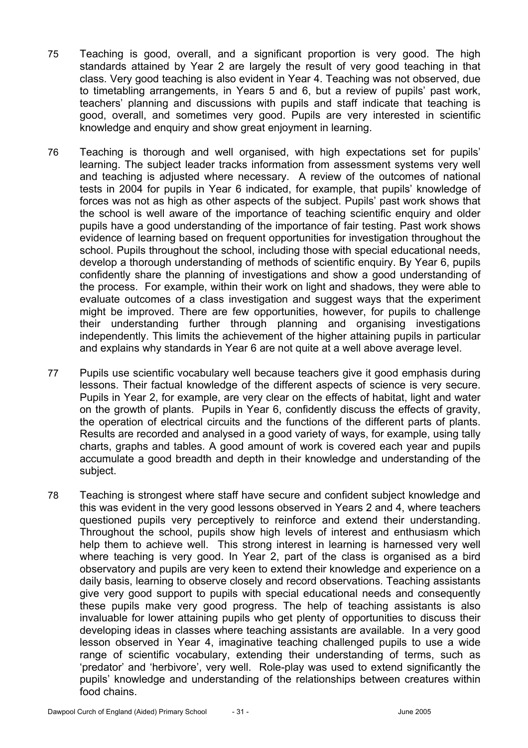- 75 Teaching is good, overall, and a significant proportion is very good. The high standards attained by Year 2 are largely the result of very good teaching in that class. Very good teaching is also evident in Year 4. Teaching was not observed, due to timetabling arrangements, in Years 5 and 6, but a review of pupils' past work, teachers' planning and discussions with pupils and staff indicate that teaching is good, overall, and sometimes very good. Pupils are very interested in scientific knowledge and enquiry and show great enjoyment in learning.
- 76 Teaching is thorough and well organised, with high expectations set for pupils' learning. The subject leader tracks information from assessment systems very well and teaching is adjusted where necessary. A review of the outcomes of national tests in 2004 for pupils in Year 6 indicated, for example, that pupils' knowledge of forces was not as high as other aspects of the subject. Pupils' past work shows that the school is well aware of the importance of teaching scientific enquiry and older pupils have a good understanding of the importance of fair testing. Past work shows evidence of learning based on frequent opportunities for investigation throughout the school. Pupils throughout the school, including those with special educational needs, develop a thorough understanding of methods of scientific enquiry. By Year 6, pupils confidently share the planning of investigations and show a good understanding of the process. For example, within their work on light and shadows, they were able to evaluate outcomes of a class investigation and suggest ways that the experiment might be improved. There are few opportunities, however, for pupils to challenge their understanding further through planning and organising investigations independently. This limits the achievement of the higher attaining pupils in particular and explains why standards in Year 6 are not quite at a well above average level.
- 77 Pupils use scientific vocabulary well because teachers give it good emphasis during lessons. Their factual knowledge of the different aspects of science is very secure. Pupils in Year 2, for example, are very clear on the effects of habitat, light and water on the growth of plants. Pupils in Year 6, confidently discuss the effects of gravity, the operation of electrical circuits and the functions of the different parts of plants. Results are recorded and analysed in a good variety of ways, for example, using tally charts, graphs and tables. A good amount of work is covered each year and pupils accumulate a good breadth and depth in their knowledge and understanding of the subject.
- 78 Teaching is strongest where staff have secure and confident subject knowledge and this was evident in the very good lessons observed in Years 2 and 4, where teachers questioned pupils very perceptively to reinforce and extend their understanding. Throughout the school, pupils show high levels of interest and enthusiasm which help them to achieve well. This strong interest in learning is harnessed very well where teaching is very good. In Year 2, part of the class is organised as a bird observatory and pupils are very keen to extend their knowledge and experience on a daily basis, learning to observe closely and record observations. Teaching assistants give very good support to pupils with special educational needs and consequently these pupils make very good progress. The help of teaching assistants is also invaluable for lower attaining pupils who get plenty of opportunities to discuss their developing ideas in classes where teaching assistants are available. In a very good lesson observed in Year 4, imaginative teaching challenged pupils to use a wide range of scientific vocabulary, extending their understanding of terms, such as 'predator' and 'herbivore', very well. Role-play was used to extend significantly the pupils' knowledge and understanding of the relationships between creatures within food chains.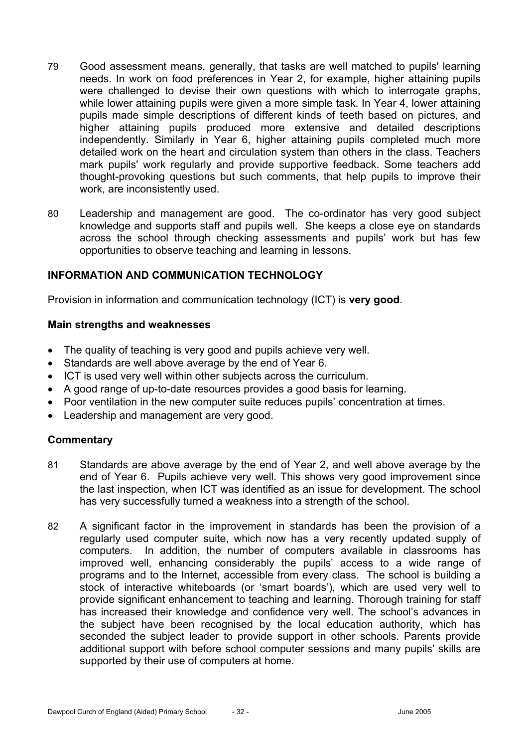- 79 Good assessment means, generally, that tasks are well matched to pupils' learning needs. In work on food preferences in Year 2, for example, higher attaining pupils were challenged to devise their own questions with which to interrogate graphs, while lower attaining pupils were given a more simple task. In Year 4, lower attaining pupils made simple descriptions of different kinds of teeth based on pictures, and higher attaining pupils produced more extensive and detailed descriptions independently. Similarly in Year 6, higher attaining pupils completed much more detailed work on the heart and circulation system than others in the class. Teachers mark pupils' work regularly and provide supportive feedback. Some teachers add thought-provoking questions but such comments, that help pupils to improve their work, are inconsistently used.
- 80 Leadership and management are good. The co-ordinator has very good subject knowledge and supports staff and pupils well. She keeps a close eye on standards across the school through checking assessments and pupils' work but has few opportunities to observe teaching and learning in lessons.

# **INFORMATION AND COMMUNICATION TECHNOLOGY**

Provision in information and communication technology (ICT) is **very good**.

#### **Main strengths and weaknesses**

- The quality of teaching is very good and pupils achieve very well.
- Standards are well above average by the end of Year 6.
- ICT is used very well within other subjects across the curriculum.
- A good range of up-to-date resources provides a good basis for learning.
- Poor ventilation in the new computer suite reduces pupils' concentration at times.
- Leadership and management are very good.

- 81 Standards are above average by the end of Year 2, and well above average by the end of Year 6. Pupils achieve very well. This shows very good improvement since the last inspection, when ICT was identified as an issue for development. The school has very successfully turned a weakness into a strength of the school.
- 82 A significant factor in the improvement in standards has been the provision of a regularly used computer suite, which now has a very recently updated supply of computers. In addition, the number of computers available in classrooms has improved well, enhancing considerably the pupils' access to a wide range of programs and to the Internet, accessible from every class. The school is building a stock of interactive whiteboards (or 'smart boards'), which are used very well to provide significant enhancement to teaching and learning. Thorough training for staff has increased their knowledge and confidence very well. The school's advances in the subject have been recognised by the local education authority, which has seconded the subject leader to provide support in other schools. Parents provide additional support with before school computer sessions and many pupils' skills are supported by their use of computers at home.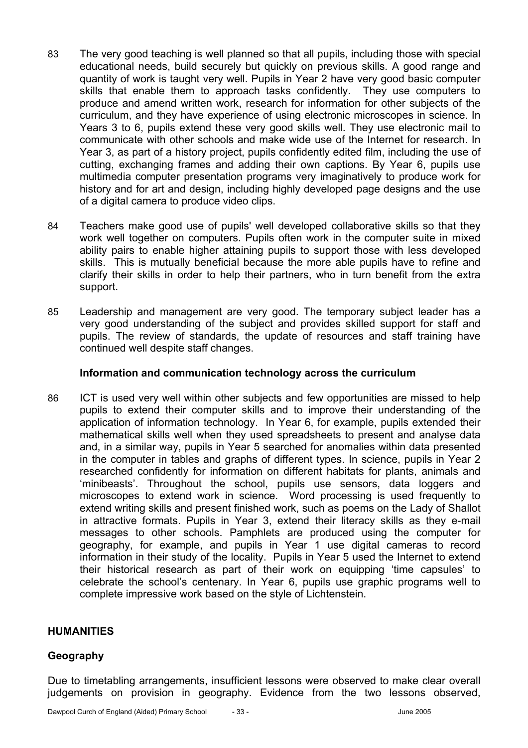- 83 The very good teaching is well planned so that all pupils, including those with special educational needs, build securely but quickly on previous skills. A good range and quantity of work is taught very well. Pupils in Year 2 have very good basic computer skills that enable them to approach tasks confidently. They use computers to produce and amend written work, research for information for other subjects of the curriculum, and they have experience of using electronic microscopes in science. In Years 3 to 6, pupils extend these very good skills well. They use electronic mail to communicate with other schools and make wide use of the Internet for research. In Year 3, as part of a history project, pupils confidently edited film, including the use of cutting, exchanging frames and adding their own captions. By Year 6, pupils use multimedia computer presentation programs very imaginatively to produce work for history and for art and design, including highly developed page designs and the use of a digital camera to produce video clips.
- 84 Teachers make good use of pupils' well developed collaborative skills so that they work well together on computers. Pupils often work in the computer suite in mixed ability pairs to enable higher attaining pupils to support those with less developed skills. This is mutually beneficial because the more able pupils have to refine and clarify their skills in order to help their partners, who in turn benefit from the extra support.
- 85 Leadership and management are very good. The temporary subject leader has a very good understanding of the subject and provides skilled support for staff and pupils. The review of standards, the update of resources and staff training have continued well despite staff changes.

#### **Information and communication technology across the curriculum**

86 ICT is used very well within other subjects and few opportunities are missed to help pupils to extend their computer skills and to improve their understanding of the application of information technology. In Year 6, for example, pupils extended their mathematical skills well when they used spreadsheets to present and analyse data and, in a similar way, pupils in Year 5 searched for anomalies within data presented in the computer in tables and graphs of different types. In science, pupils in Year 2 researched confidently for information on different habitats for plants, animals and 'minibeasts'. Throughout the school, pupils use sensors, data loggers and microscopes to extend work in science. Word processing is used frequently to extend writing skills and present finished work, such as poems on the Lady of Shallot in attractive formats. Pupils in Year 3, extend their literacy skills as they e-mail messages to other schools. Pamphlets are produced using the computer for geography, for example, and pupils in Year 1 use digital cameras to record information in their study of the locality. Pupils in Year 5 used the Internet to extend their historical research as part of their work on equipping 'time capsules' to celebrate the school's centenary. In Year 6, pupils use graphic programs well to complete impressive work based on the style of Lichtenstein.

## **HUMANITIES**

## **Geography**

Due to timetabling arrangements, insufficient lessons were observed to make clear overall judgements on provision in geography. Evidence from the two lessons observed,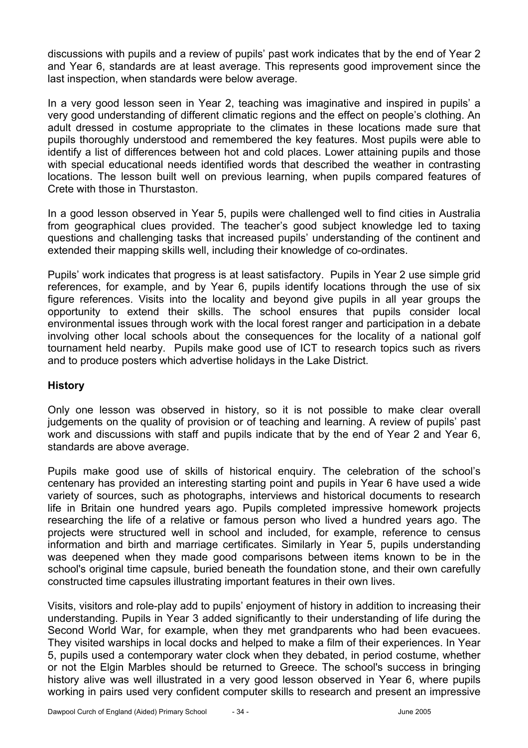discussions with pupils and a review of pupils' past work indicates that by the end of Year 2 and Year 6, standards are at least average. This represents good improvement since the last inspection, when standards were below average.

In a very good lesson seen in Year 2, teaching was imaginative and inspired in pupils' a very good understanding of different climatic regions and the effect on people's clothing. An adult dressed in costume appropriate to the climates in these locations made sure that pupils thoroughly understood and remembered the key features. Most pupils were able to identify a list of differences between hot and cold places. Lower attaining pupils and those with special educational needs identified words that described the weather in contrasting locations. The lesson built well on previous learning, when pupils compared features of Crete with those in Thurstaston.

In a good lesson observed in Year 5, pupils were challenged well to find cities in Australia from geographical clues provided. The teacher's good subject knowledge led to taxing questions and challenging tasks that increased pupils' understanding of the continent and extended their mapping skills well, including their knowledge of co-ordinates.

Pupils' work indicates that progress is at least satisfactory. Pupils in Year 2 use simple grid references, for example, and by Year 6, pupils identify locations through the use of six figure references. Visits into the locality and beyond give pupils in all year groups the opportunity to extend their skills. The school ensures that pupils consider local environmental issues through work with the local forest ranger and participation in a debate involving other local schools about the consequences for the locality of a national golf tournament held nearby. Pupils make good use of ICT to research topics such as rivers and to produce posters which advertise holidays in the Lake District.

# **History**

Only one lesson was observed in history, so it is not possible to make clear overall judgements on the quality of provision or of teaching and learning. A review of pupils' past work and discussions with staff and pupils indicate that by the end of Year 2 and Year 6, standards are above average.

Pupils make good use of skills of historical enquiry. The celebration of the school's centenary has provided an interesting starting point and pupils in Year 6 have used a wide variety of sources, such as photographs, interviews and historical documents to research life in Britain one hundred years ago. Pupils completed impressive homework projects researching the life of a relative or famous person who lived a hundred years ago. The projects were structured well in school and included, for example, reference to census information and birth and marriage certificates. Similarly in Year 5, pupils understanding was deepened when they made good comparisons between items known to be in the school's original time capsule, buried beneath the foundation stone, and their own carefully constructed time capsules illustrating important features in their own lives.

Visits, visitors and role-play add to pupils' enjoyment of history in addition to increasing their understanding. Pupils in Year 3 added significantly to their understanding of life during the Second World War, for example, when they met grandparents who had been evacuees. They visited warships in local docks and helped to make a film of their experiences. In Year 5, pupils used a contemporary water clock when they debated, in period costume, whether or not the Elgin Marbles should be returned to Greece. The school's success in bringing history alive was well illustrated in a very good lesson observed in Year 6, where pupils working in pairs used very confident computer skills to research and present an impressive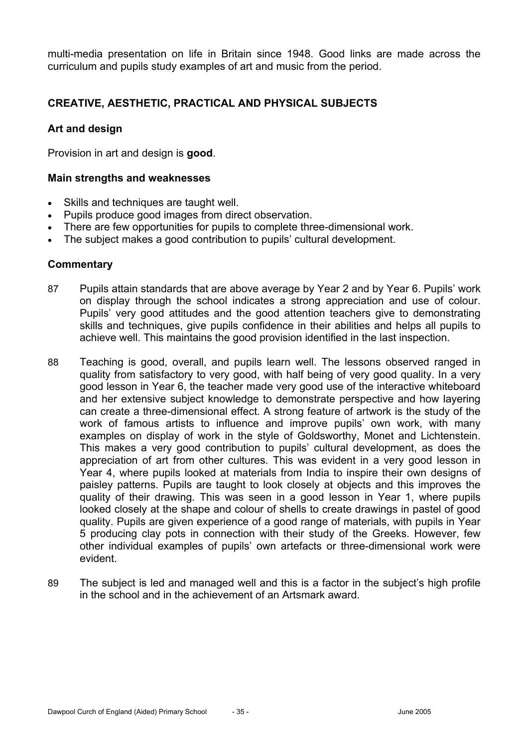multi-media presentation on life in Britain since 1948. Good links are made across the curriculum and pupils study examples of art and music from the period.

# **CREATIVE, AESTHETIC, PRACTICAL AND PHYSICAL SUBJECTS**

## **Art and design**

Provision in art and design is **good**.

#### **Main strengths and weaknesses**

- Skills and techniques are taught well.
- Pupils produce good images from direct observation.
- There are few opportunities for pupils to complete three-dimensional work.
- The subject makes a good contribution to pupils' cultural development.

- 87 Pupils attain standards that are above average by Year 2 and by Year 6. Pupils' work on display through the school indicates a strong appreciation and use of colour. Pupils' very good attitudes and the good attention teachers give to demonstrating skills and techniques, give pupils confidence in their abilities and helps all pupils to achieve well. This maintains the good provision identified in the last inspection.
- 88 Teaching is good, overall, and pupils learn well. The lessons observed ranged in quality from satisfactory to very good, with half being of very good quality. In a very good lesson in Year 6, the teacher made very good use of the interactive whiteboard and her extensive subject knowledge to demonstrate perspective and how layering can create a three-dimensional effect. A strong feature of artwork is the study of the work of famous artists to influence and improve pupils' own work, with many examples on display of work in the style of Goldsworthy, Monet and Lichtenstein. This makes a very good contribution to pupils' cultural development, as does the appreciation of art from other cultures. This was evident in a very good lesson in Year 4, where pupils looked at materials from India to inspire their own designs of paisley patterns. Pupils are taught to look closely at objects and this improves the quality of their drawing. This was seen in a good lesson in Year 1, where pupils looked closely at the shape and colour of shells to create drawings in pastel of good quality. Pupils are given experience of a good range of materials, with pupils in Year 5 producing clay pots in connection with their study of the Greeks. However, few other individual examples of pupils' own artefacts or three-dimensional work were evident.
- 89 The subject is led and managed well and this is a factor in the subject's high profile in the school and in the achievement of an Artsmark award.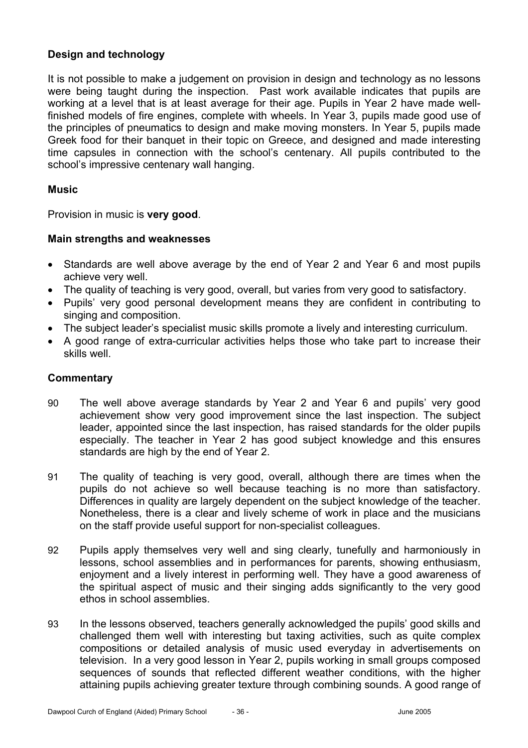# **Design and technology**

It is not possible to make a judgement on provision in design and technology as no lessons were being taught during the inspection. Past work available indicates that pupils are working at a level that is at least average for their age. Pupils in Year 2 have made wellfinished models of fire engines, complete with wheels. In Year 3, pupils made good use of the principles of pneumatics to design and make moving monsters. In Year 5, pupils made Greek food for their banquet in their topic on Greece, and designed and made interesting time capsules in connection with the school's centenary. All pupils contributed to the school's impressive centenary wall hanging.

## **Music**

Provision in music is **very good**.

## **Main strengths and weaknesses**

- Standards are well above average by the end of Year 2 and Year 6 and most pupils achieve very well.
- The quality of teaching is very good, overall, but varies from very good to satisfactory.
- Pupils' very good personal development means they are confident in contributing to singing and composition.
- The subject leader's specialist music skills promote a lively and interesting curriculum.
- A good range of extra-curricular activities helps those who take part to increase their skills well.

- 90 The well above average standards by Year 2 and Year 6 and pupils' very good achievement show very good improvement since the last inspection. The subject leader, appointed since the last inspection, has raised standards for the older pupils especially. The teacher in Year 2 has good subject knowledge and this ensures standards are high by the end of Year 2.
- 91 The quality of teaching is very good, overall, although there are times when the pupils do not achieve so well because teaching is no more than satisfactory. Differences in quality are largely dependent on the subject knowledge of the teacher. Nonetheless, there is a clear and lively scheme of work in place and the musicians on the staff provide useful support for non-specialist colleagues.
- 92 Pupils apply themselves very well and sing clearly, tunefully and harmoniously in lessons, school assemblies and in performances for parents, showing enthusiasm, enjoyment and a lively interest in performing well. They have a good awareness of the spiritual aspect of music and their singing adds significantly to the very good ethos in school assemblies.
- 93 In the lessons observed, teachers generally acknowledged the pupils' good skills and challenged them well with interesting but taxing activities, such as quite complex compositions or detailed analysis of music used everyday in advertisements on television. In a very good lesson in Year 2, pupils working in small groups composed sequences of sounds that reflected different weather conditions, with the higher attaining pupils achieving greater texture through combining sounds. A good range of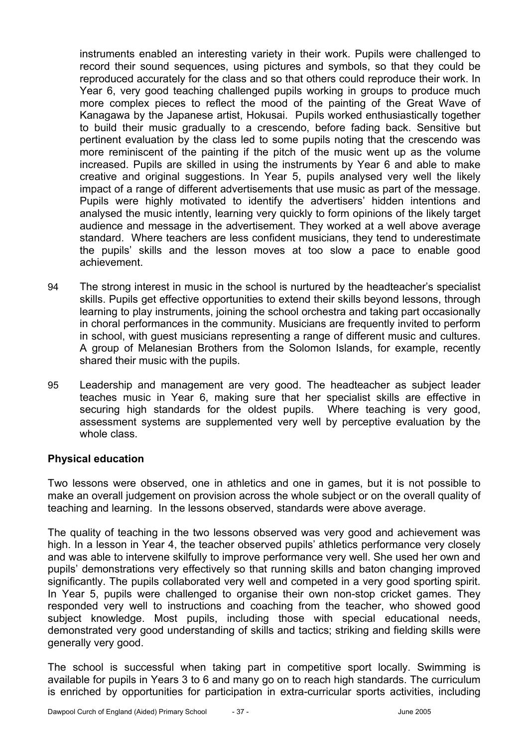instruments enabled an interesting variety in their work. Pupils were challenged to record their sound sequences, using pictures and symbols, so that they could be reproduced accurately for the class and so that others could reproduce their work. In Year 6, very good teaching challenged pupils working in groups to produce much more complex pieces to reflect the mood of the painting of the Great Wave of Kanagawa by the Japanese artist, Hokusai. Pupils worked enthusiastically together to build their music gradually to a crescendo, before fading back. Sensitive but pertinent evaluation by the class led to some pupils noting that the crescendo was more reminiscent of the painting if the pitch of the music went up as the volume increased. Pupils are skilled in using the instruments by Year 6 and able to make creative and original suggestions. In Year 5, pupils analysed very well the likely impact of a range of different advertisements that use music as part of the message. Pupils were highly motivated to identify the advertisers' hidden intentions and analysed the music intently, learning very quickly to form opinions of the likely target audience and message in the advertisement. They worked at a well above average standard. Where teachers are less confident musicians, they tend to underestimate the pupils' skills and the lesson moves at too slow a pace to enable good achievement.

- 94 The strong interest in music in the school is nurtured by the headteacher's specialist skills. Pupils get effective opportunities to extend their skills beyond lessons, through learning to play instruments, joining the school orchestra and taking part occasionally in choral performances in the community. Musicians are frequently invited to perform in school, with guest musicians representing a range of different music and cultures. A group of Melanesian Brothers from the Solomon Islands, for example, recently shared their music with the pupils.
- 95 Leadership and management are very good. The headteacher as subject leader teaches music in Year 6, making sure that her specialist skills are effective in securing high standards for the oldest pupils. Where teaching is very good, assessment systems are supplemented very well by perceptive evaluation by the whole class.

## **Physical education**

Two lessons were observed, one in athletics and one in games, but it is not possible to make an overall judgement on provision across the whole subject or on the overall quality of teaching and learning. In the lessons observed, standards were above average.

The quality of teaching in the two lessons observed was very good and achievement was high. In a lesson in Year 4, the teacher observed pupils' athletics performance very closely and was able to intervene skilfully to improve performance very well. She used her own and pupils' demonstrations very effectively so that running skills and baton changing improved significantly. The pupils collaborated very well and competed in a very good sporting spirit. In Year 5, pupils were challenged to organise their own non-stop cricket games. They responded very well to instructions and coaching from the teacher, who showed good subject knowledge. Most pupils, including those with special educational needs, demonstrated very good understanding of skills and tactics; striking and fielding skills were generally very good.

The school is successful when taking part in competitive sport locally. Swimming is available for pupils in Years 3 to 6 and many go on to reach high standards. The curriculum is enriched by opportunities for participation in extra-curricular sports activities, including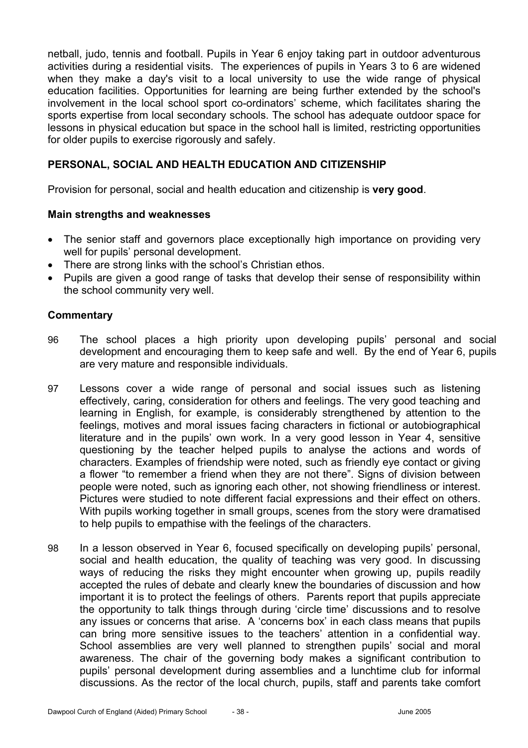netball, judo, tennis and football. Pupils in Year 6 enjoy taking part in outdoor adventurous activities during a residential visits. The experiences of pupils in Years 3 to 6 are widened when they make a day's visit to a local university to use the wide range of physical education facilities. Opportunities for learning are being further extended by the school's involvement in the local school sport co-ordinators' scheme, which facilitates sharing the sports expertise from local secondary schools. The school has adequate outdoor space for lessons in physical education but space in the school hall is limited, restricting opportunities for older pupils to exercise rigorously and safely.

# **PERSONAL, SOCIAL AND HEALTH EDUCATION AND CITIZENSHIP**

Provision for personal, social and health education and citizenship is **very good**.

#### **Main strengths and weaknesses**

- The senior staff and governors place exceptionally high importance on providing very well for pupils' personal development.
- There are strong links with the school's Christian ethos.
- Pupils are given a good range of tasks that develop their sense of responsibility within the school community very well.

- 96 The school places a high priority upon developing pupils' personal and social development and encouraging them to keep safe and well. By the end of Year 6, pupils are very mature and responsible individuals.
- 97 Lessons cover a wide range of personal and social issues such as listening effectively, caring, consideration for others and feelings. The very good teaching and learning in English, for example, is considerably strengthened by attention to the feelings, motives and moral issues facing characters in fictional or autobiographical literature and in the pupils' own work. In a very good lesson in Year 4, sensitive questioning by the teacher helped pupils to analyse the actions and words of characters. Examples of friendship were noted, such as friendly eye contact or giving a flower "to remember a friend when they are not there". Signs of division between people were noted, such as ignoring each other, not showing friendliness or interest. Pictures were studied to note different facial expressions and their effect on others. With pupils working together in small groups, scenes from the story were dramatised to help pupils to empathise with the feelings of the characters.
- 98 In a lesson observed in Year 6, focused specifically on developing pupils' personal, social and health education, the quality of teaching was very good. In discussing ways of reducing the risks they might encounter when growing up, pupils readily accepted the rules of debate and clearly knew the boundaries of discussion and how important it is to protect the feelings of others. Parents report that pupils appreciate the opportunity to talk things through during 'circle time' discussions and to resolve any issues or concerns that arise. A 'concerns box' in each class means that pupils can bring more sensitive issues to the teachers' attention in a confidential way. School assemblies are very well planned to strengthen pupils' social and moral awareness. The chair of the governing body makes a significant contribution to pupils' personal development during assemblies and a lunchtime club for informal discussions. As the rector of the local church, pupils, staff and parents take comfort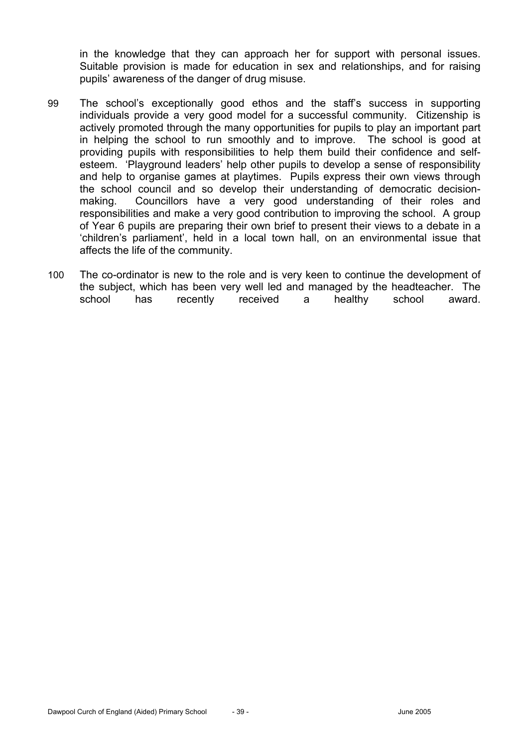in the knowledge that they can approach her for support with personal issues. Suitable provision is made for education in sex and relationships, and for raising pupils' awareness of the danger of drug misuse.

- 99 The school's exceptionally good ethos and the staff's success in supporting individuals provide a very good model for a successful community. Citizenship is actively promoted through the many opportunities for pupils to play an important part in helping the school to run smoothly and to improve. The school is good at providing pupils with responsibilities to help them build their confidence and selfesteem. 'Playground leaders' help other pupils to develop a sense of responsibility and help to organise games at playtimes. Pupils express their own views through the school council and so develop their understanding of democratic decisionmaking. Councillors have a very good understanding of their roles and responsibilities and make a very good contribution to improving the school. A group of Year 6 pupils are preparing their own brief to present their views to a debate in a 'children's parliament', held in a local town hall, on an environmental issue that affects the life of the community.
- 100 The co-ordinator is new to the role and is very keen to continue the development of the subject, which has been very well led and managed by the headteacher. The school has recently received a healthy school award.